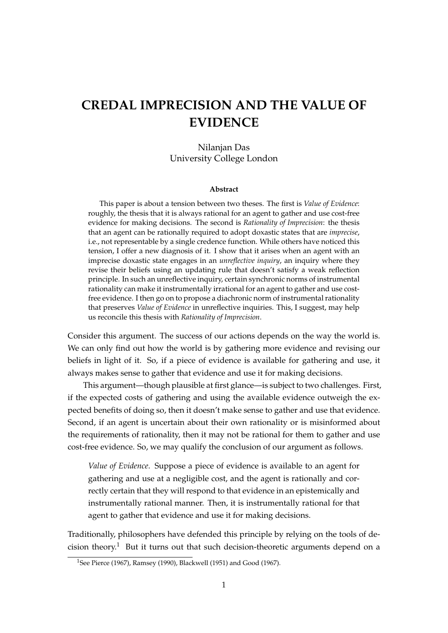# **CREDAL IMPRECISION AND THE VALUE OF EVIDENCE**

#### Nilanjan Das University College London

#### **Abstract**

This paper is about a tension between two theses. The first is *Value of Evidence*: roughly, the thesis that it is always rational for an agent to gather and use cost-free evidence for making decisions. The second is *Rationality of Imprecision*: the thesis that an agent can be rationally required to adopt doxastic states that are *imprecise*, i.e., not representable by a single credence function. While others have noticed this tension, I offer a new diagnosis of it. I show that it arises when an agent with an imprecise doxastic state engages in an *unreflective inquiry*, an inquiry where they revise their beliefs using an updating rule that doesn't satisfy a weak reflection principle. In such an unreflective inquiry, certain synchronic norms of instrumental rationality can make it instrumentally irrational for an agent to gather and use costfree evidence. I then go on to propose a diachronic norm of instrumental rationality that preserves *Value of Evidence* in unreflective inquiries. This, I suggest, may help us reconcile this thesis with *Rationality of Imprecision*.

Consider this argument. The success of our actions depends on the way the world is. We can only find out how the world is by gathering more evidence and revising our beliefs in light of it. So, if a piece of evidence is available for gathering and use, it always makes sense to gather that evidence and use it for making decisions.

This argument—though plausible at first glance—is subject to two challenges. First, if the expected costs of gathering and using the available evidence outweigh the expected benefits of doing so, then it doesn't make sense to gather and use that evidence. Second, if an agent is uncertain about their own rationality or is misinformed about the requirements of rationality, then it may not be rational for them to gather and use cost-free evidence. So, we may qualify the conclusion of our argument as follows.

*Value of Evidence*. Suppose a piece of evidence is available to an agent for gathering and use at a negligible cost, and the agent is rationally and correctly certain that they will respond to that evidence in an epistemically and instrumentally rational manner. Then, it is instrumentally rational for that agent to gather that evidence and use it for making decisions.

Traditionally, philosophers have defended this principle by relying on the tools of decision theory.<sup>1</sup> But it turns out that such decision-theoretic arguments depend on a

<sup>1</sup>See Pierce (1967), Ramsey (1990), Blackwell (1951) and Good (1967).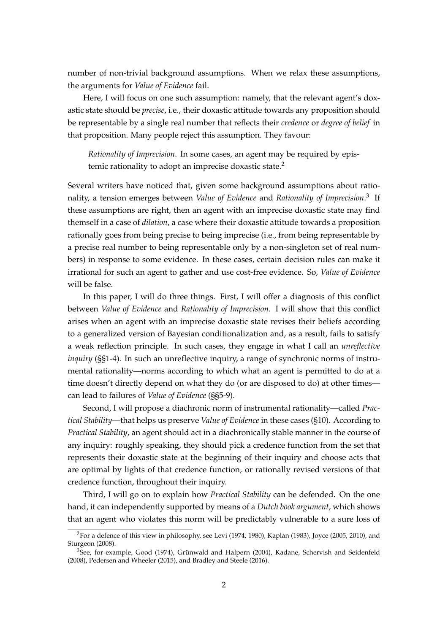number of non-trivial background assumptions. When we relax these assumptions, the arguments for *Value of Evidence* fail.

Here, I will focus on one such assumption: namely, that the relevant agent's doxastic state should be *precise*, i.e., their doxastic attitude towards any proposition should be representable by a single real number that reflects their *credence* or *degree of belief* in that proposition. Many people reject this assumption. They favour:

*Rationality of Imprecision*. In some cases, an agent may be required by epistemic rationality to adopt an imprecise doxastic state.<sup>2</sup>

Several writers have noticed that, given some background assumptions about rationality, a tension emerges between *Value of Evidence* and *Rationality of Imprecision*. 3 If these assumptions are right, then an agent with an imprecise doxastic state may find themself in a case of *dilation*, a case where their doxastic attitude towards a proposition rationally goes from being precise to being imprecise (i.e., from being representable by a precise real number to being representable only by a non-singleton set of real numbers) in response to some evidence. In these cases, certain decision rules can make it irrational for such an agent to gather and use cost-free evidence. So, *Value of Evidence* will be false.

In this paper, I will do three things. First, I will offer a diagnosis of this conflict between *Value of Evidence* and *Rationality of Imprecision*. I will show that this conflict arises when an agent with an imprecise doxastic state revises their beliefs according to a generalized version of Bayesian conditionalization and, as a result, fails to satisfy a weak reflection principle. In such cases, they engage in what I call an *unreflective inquiry* (§§1-4). In such an unreflective inquiry, a range of synchronic norms of instrumental rationality—norms according to which what an agent is permitted to do at a time doesn't directly depend on what they do (or are disposed to do) at other times can lead to failures of *Value of Evidence* (§§5-9).

Second, I will propose a diachronic norm of instrumental rationality—called *Practical Stability*—that helps us preserve *Value of Evidence* in these cases (§10). According to *Practical Stability*, an agent should act in a diachronically stable manner in the course of any inquiry: roughly speaking, they should pick a credence function from the set that represents their doxastic state at the beginning of their inquiry and choose acts that are optimal by lights of that credence function, or rationally revised versions of that credence function, throughout their inquiry.

Third, I will go on to explain how *Practical Stability* can be defended. On the one hand, it can independently supported by means of a *Dutch book argument*, which shows that an agent who violates this norm will be predictably vulnerable to a sure loss of

<sup>2</sup>For a defence of this view in philosophy, see Levi (1974, 1980), Kaplan (1983), Joyce (2005, 2010), and Sturgeon (2008).

<sup>3</sup>See, for example, Good (1974), Grünwald and Halpern (2004), Kadane, Schervish and Seidenfeld (2008), Pedersen and Wheeler (2015), and Bradley and Steele (2016).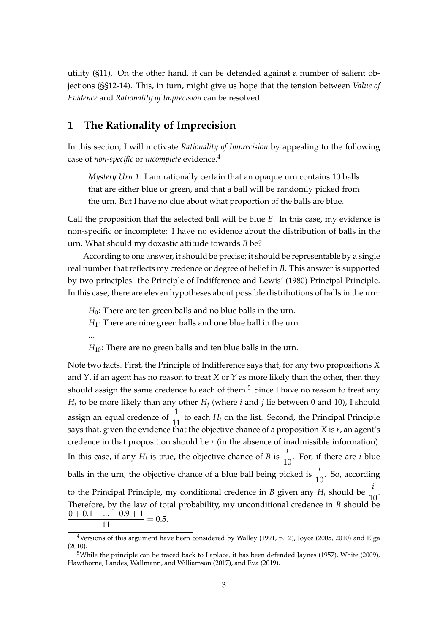utility (§11). On the other hand, it can be defended against a number of salient objections (§§12-14). This, in turn, might give us hope that the tension between *Value of Evidence* and *Rationality of Imprecision* can be resolved.

# **1 The Rationality of Imprecision**

In this section, I will motivate *Rationality of Imprecision* by appealing to the following case of *non-specific* or *incomplete* evidence.<sup>4</sup>

*Mystery Urn 1*. I am rationally certain that an opaque urn contains 10 balls that are either blue or green, and that a ball will be randomly picked from the urn. But I have no clue about what proportion of the balls are blue.

Call the proposition that the selected ball will be blue *B*. In this case, my evidence is non-specific or incomplete: I have no evidence about the distribution of balls in the urn. What should my doxastic attitude towards *B* be?

According to one answer, it should be precise; it should be representable by a single real number that reflects my credence or degree of belief in *B*. This answer is supported by two principles: the Principle of Indifference and Lewis' (1980) Principal Principle. In this case, there are eleven hypotheses about possible distributions of balls in the urn:

*H*<sub>0</sub>: There are ten green balls and no blue balls in the urn.

*H*<sub>1</sub>: There are nine green balls and one blue ball in the urn.

...

*H*<sub>10</sub>: There are no green balls and ten blue balls in the urn.

Note two facts. First, the Principle of Indifference says that, for any two propositions *X* and *Y*, if an agent has no reason to treat *X* or *Y* as more likely than the other, then they should assign the same credence to each of them.<sup>5</sup> Since I have no reason to treat any *Hi* to be more likely than any other *H<sup>j</sup>* (where *i* and *j* lie between 0 and 10), I should assign an equal credence of  $\frac{1}{11}$  to each  $H_i$  on the list. Second, the Principal Principle says that, given the evidence that the objective chance of a proposition *X* is *r*, an agent's credence in that proposition should be *r* (in the absence of inadmissible information). In this case, if any  $H_i$  is true, the objective chance of *B* is  $\frac{i}{10}$ . For, if there are *i* blue balls in the urn, the objective chance of a blue ball being picked is  $\frac{i}{10}$ . So, according to the Principal Principle, my conditional credence in *B* given any  $H_i$  should be  $\frac{i}{10}$ . Therefore, by the law of total probability, my unconditional credence in *B* should be  $\frac{0+0.1+...+0.9+1}{11} = 0.5.$ 

<sup>&</sup>lt;sup>4</sup>Versions of this argument have been considered by Walley (1991, p. 2), Joyce (2005, 2010) and Elga (2010).

<sup>5</sup>While the principle can be traced back to Laplace, it has been defended Jaynes (1957), White (2009), Hawthorne, Landes, Wallmann, and Williamson (2017), and Eva (2019).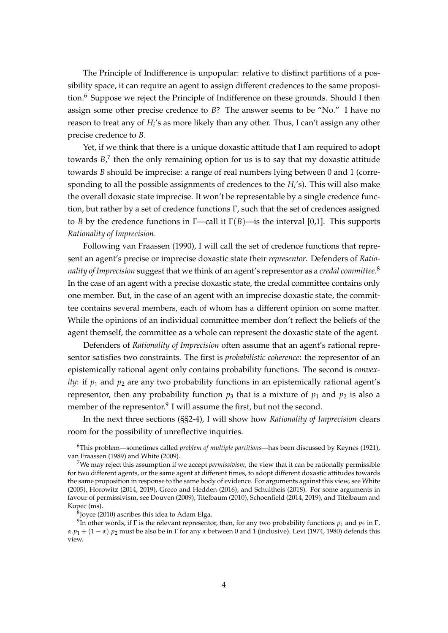The Principle of Indifference is unpopular: relative to distinct partitions of a possibility space, it can require an agent to assign different credences to the same proposition.<sup>6</sup> Suppose we reject the Principle of Indifference on these grounds. Should I then assign some other precise credence to *B*? The answer seems to be "No." I have no reason to treat any of  $H_i$ 's as more likely than any other. Thus, I can't assign any other precise credence to *B*.

Yet, if we think that there is a unique doxastic attitude that I am required to adopt towards  $B$ ,<sup>7</sup> then the only remaining option for us is to say that my doxastic attitude towards *B* should be imprecise: a range of real numbers lying between 0 and 1 (corresponding to all the possible assignments of credences to the *H<sup>i</sup>* 's). This will also make the overall doxasic state imprecise. It won't be representable by a single credence function, but rather by a set of credence functions Γ, such that the set of credences assigned to *B* by the credence functions in  $\Gamma$ —call it  $\Gamma(B)$ —is the interval [0,1]. This supports *Rationality of Imprecision*.

Following van Fraassen (1990), I will call the set of credence functions that represent an agent's precise or imprecise doxastic state their *representor*. Defenders of *Rationality of Imprecision* suggest that we think of an agent's representor as a *credal committee*. 8 In the case of an agent with a precise doxastic state, the credal committee contains only one member. But, in the case of an agent with an imprecise doxastic state, the committee contains several members, each of whom has a different opinion on some matter. While the opinions of an individual committee member don't reflect the beliefs of the agent themself, the committee as a whole can represent the doxastic state of the agent.

Defenders of *Rationality of Imprecision* often assume that an agent's rational representor satisfies two constraints. The first is *probabilistic coherence*: the representor of an epistemically rational agent only contains probability functions. The second is *convexity*: if  $p_1$  and  $p_2$  are any two probability functions in an epistemically rational agent's representor, then any probability function  $p_3$  that is a mixture of  $p_1$  and  $p_2$  is also a member of the representor.<sup>9</sup> I will assume the first, but not the second.

In the next three sections (§§2-4), I will show how *Rationality of Imprecision* clears room for the possibility of unreflective inquiries.

8 Joyce (2010) ascribes this idea to Adam Elga.

<sup>6</sup>This problem—sometimes called *problem of multiple partitions*—has been discussed by Keynes (1921), van Fraassen (1989) and White (2009).

<sup>7</sup>We may reject this assumption if we accept *permissivism*, the view that it can be rationally permissible for two different agents, or the same agent at different times, to adopt different doxastic attitudes towards the same proposition in response to the same body of evidence. For arguments against this view, see White (2005), Horowitz (2014, 2019), Greco and Hedden (2016), and Schultheis (2018). For some arguments in favour of permissivism, see Douven (2009), Titelbaum (2010), Schoenfield (2014, 2019), and Titelbaum and Kopec (ms).

 $^9$ In other words, if  $\Gamma$  is the relevant representor, then, for any two probability functions  $p_1$  and  $p_2$  in  $\Gamma$ ,  $\alpha$ .*p*<sub>1</sub> + (1 – *α*).*p*<sub>2</sub> must be also be in Γ for any *α* between 0 and 1 (inclusive). Levi (1974, 1980) defends this view.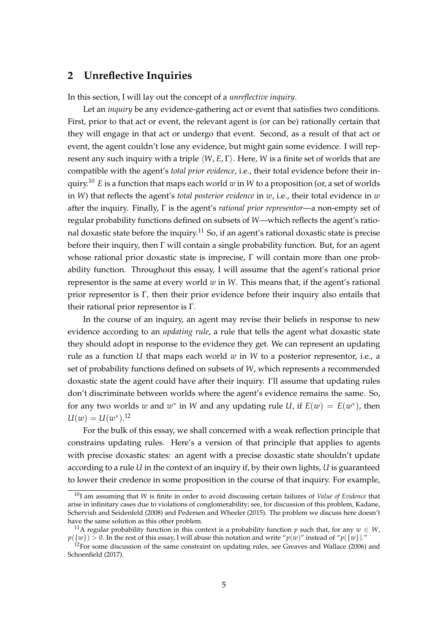#### **2 Unreflective Inquiries**

In this section, I will lay out the concept of a *unreflective inquiry*.

Let an *inquiry* be any evidence-gathering act or event that satisfies two conditions. First, prior to that act or event, the relevant agent is (or can be) rationally certain that they will engage in that act or undergo that event. Second, as a result of that act or event, the agent couldn't lose any evidence, but might gain some evidence. I will represent any such inquiry with a triple *⟨W*, *E*, Γ*⟩*. Here, *W* is a finite set of worlds that are compatible with the agent's *total prior evidence*, i.e., their total evidence before their inquiry.<sup>10</sup> *E* is a function that maps each world *w* in *W* to a proposition (or, a set of worlds in *W*) that reflects the agent's *total posterior evidence* in *w*, i.e., their total evidence in *w* after the inquiry. Finally, Γ is the agent's *rational prior representor*—a non-empty set of regular probability functions defined on subsets of *W*—which reflects the agent's rational doxastic state before the inquiry.<sup>11</sup> So, if an agent's rational doxastic state is precise before their inquiry, then Γ will contain a single probability function. But, for an agent whose rational prior doxastic state is imprecise, Γ will contain more than one probability function. Throughout this essay, I will assume that the agent's rational prior representor is the same at every world *w* in *W*. This means that, if the agent's rational prior representor is Γ, then their prior evidence before their inquiry also entails that their rational prior representor is Γ.

In the course of an inquiry, an agent may revise their beliefs in response to new evidence according to an *updating rule*, a rule that tells the agent what doxastic state they should adopt in response to the evidence they get. We can represent an updating rule as a function *U* that maps each world *w* in *W* to a posterior representor, i.e., a set of probability functions defined on subsets of *W*, which represents a recommended doxastic state the agent could have after their inquiry. I'll assume that updating rules don't discriminate between worlds where the agent's evidence remains the same. So, for any two worlds *w* and  $w^*$  in *W* and any updating rule *U*, if  $E(w) = E(w^*)$ , then  $U(w) = U(w^*)$ <sup>12</sup>

For the bulk of this essay, we shall concerned with a weak reflection principle that constrains updating rules. Here's a version of that principle that applies to agents with precise doxastic states: an agent with a precise doxastic state shouldn't update according to a rule *U* in the context of an inquiry if, by their own lights, *U* is guaranteed to lower their credence in some proposition in the course of that inquiry. For example,

<sup>10</sup>I am assuming that *W* is finite in order to avoid discussing certain failures of *Value of Evidence* that arise in infinitary cases due to violations of conglomerability; see, for discussion of this problem, Kadane, Schervish and Seidenfeld (2008) and Pedersen and Wheeler (2015). The problem we discuss here doesn't have the same solution as this other problem.

<sup>&</sup>lt;sup>11</sup>A regular probability function in this context is a probability function *p* such that, for any  $w \in W$ ,  $p({w}) > 0$ . In the rest of this essay, I will abuse this notation and write " $p(w)$ " instead of " $p({w})$ ."

 $12$ For some discussion of the same constraint on updating rules, see Greaves and Wallace (2006) and Schoenfield (2017).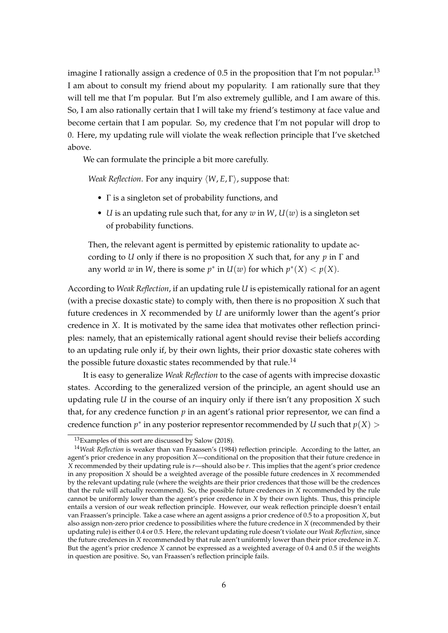imagine I rationally assign a credence of  $0.5$  in the proposition that I'm not popular.<sup>13</sup> I am about to consult my friend about my popularity. I am rationally sure that they will tell me that I'm popular. But I'm also extremely gullible, and I am aware of this. So, I am also rationally certain that I will take my friend's testimony at face value and become certain that I am popular. So, my credence that I'm not popular will drop to 0. Here, my updating rule will violate the weak reflection principle that I've sketched above.

We can formulate the principle a bit more carefully.

*Weak Reflection*. For any inquiry *⟨W*, *E*, Γ*⟩*, suppose that:

- Γ is a singleton set of probability functions, and
- *U* is an updating rule such that, for any *w* in *W*,  $U(w)$  is a singleton set of probability functions.

Then, the relevant agent is permitted by epistemic rationality to update according to *U* only if there is no proposition *X* such that, for any *p* in Γ and any world *w* in *W*, there is some  $p^*$  in  $U(w)$  for which  $p^*(X) < p(X)$ .

According to *Weak Reflection*, if an updating rule *U* is epistemically rational for an agent (with a precise doxastic state) to comply with, then there is no proposition *X* such that future credences in *X* recommended by *U* are uniformly lower than the agent's prior credence in *X*. It is motivated by the same idea that motivates other reflection principles: namely, that an epistemically rational agent should revise their beliefs according to an updating rule only if, by their own lights, their prior doxastic state coheres with the possible future doxastic states recommended by that rule.<sup>14</sup>

It is easy to generalize *Weak Reflection* to the case of agents with imprecise doxastic states. According to the generalized version of the principle, an agent should use an updating rule *U* in the course of an inquiry only if there isn't any proposition *X* such that, for any credence function *p* in an agent's rational prior representor, we can find a credence function  $p^*$  in any posterior representor recommended by *U* such that  $p(X)$  >

<sup>13</sup>Examples of this sort are discussed by Salow (2018).

<sup>14</sup>*Weak Reflection* is weaker than van Fraassen's (1984) reflection principle. According to the latter, an agent's prior credence in any proposition *X*—conditional on the proposition that their future credence in *X* recommended by their updating rule is *r*—should also be *r*. This implies that the agent's prior credence in any proposition *X* should be a weighted average of the possible future credences in *X* recommended by the relevant updating rule (where the weights are their prior credences that those will be the credences that the rule will actually recommend). So, the possible future credences in *X* recommended by the rule cannot be uniformly lower than the agent's prior credence in *X* by their own lights. Thus, this principle entails a version of our weak reflection principle. However, our weak reflection principle doesn't entail van Fraassen's principle. Take a case where an agent assigns a prior credence of 0.5 to a proposition *X*, but also assign non-zero prior credence to possibilities where the future credence in *X* (recommended by their updating rule) is either 0.4 or 0.5. Here, the relevant updating rule doesn't violate our *Weak Reflection*, since the future credences in *X* recommended by that rule aren't uniformly lower than their prior credence in *X*. But the agent's prior credence *X* cannot be expressed as a weighted average of 0.4 and 0.5 if the weights in question are positive. So, van Fraassen's reflection principle fails.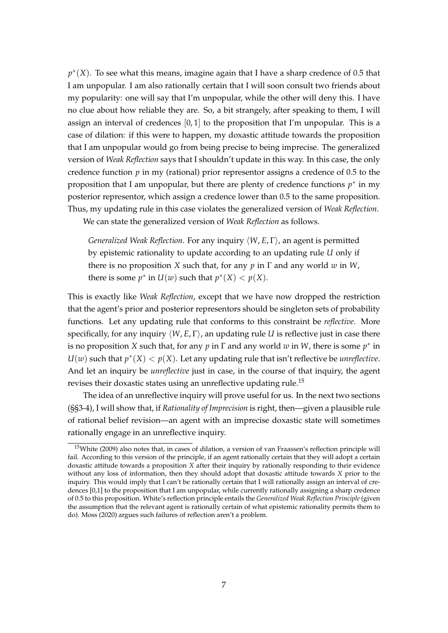*p ∗* (*X*). To see what this means, imagine again that I have a sharp credence of 0.5 that I am unpopular. I am also rationally certain that I will soon consult two friends about my popularity: one will say that I'm unpopular, while the other will deny this. I have no clue about how reliable they are. So, a bit strangely, after speaking to them, I will assign an interval of credences  $[0, 1]$  to the proposition that I'm unpopular. This is a case of dilation: if this were to happen, my doxastic attitude towards the proposition that I am unpopular would go from being precise to being imprecise. The generalized version of *Weak Reflection* says that I shouldn't update in this way. In this case, the only credence function *p* in my (rational) prior representor assigns a credence of 0.5 to the proposition that I am unpopular, but there are plenty of credence functions *p ∗* in my posterior representor, which assign a credence lower than 0.5 to the same proposition. Thus, my updating rule in this case violates the generalized version of *Weak Reflection*.

We can state the generalized version of *Weak Reflection* as follows.

*Generalized Weak Reflection*. For any inquiry *⟨W*, *E*, Γ*⟩*, an agent is permitted by epistemic rationality to update according to an updating rule *U* only if there is no proposition *X* such that, for any *p* in Γ and any world *w* in *W*, there is some  $p^*$  in  $U(w)$  such that  $p^*(X) < p(X)$ .

This is exactly like *Weak Reflection*, except that we have now dropped the restriction that the agent's prior and posterior representors should be singleton sets of probability functions. Let any updating rule that conforms to this constraint be *reflective*. More specifically, for any inquiry *⟨W*, *E*, Γ*⟩*, an updating rule *U* is reflective just in case there is no proposition *X* such that, for any  $p$  in  $\Gamma$  and any world  $w$  in  $W$ , there is some  $p^*$  in  $U(w)$  such that  $p^*(X) < p(X)$ . Let any updating rule that isn't reflective be *unreflective*. And let an inquiry be *unreflective* just in case, in the course of that inquiry, the agent revises their doxastic states using an unreflective updating rule.<sup>15</sup>

The idea of an unreflective inquiry will prove useful for us. In the next two sections (§§3-4), I will show that, if *Rationality of Imprecision* is right, then—given a plausible rule of rational belief revision—an agent with an imprecise doxastic state will sometimes rationally engage in an unreflective inquiry.

<sup>15</sup>White (2009) also notes that, in cases of dilation, a version of van Fraassen's reflection principle will fail. According to this version of the principle, if an agent rationally certain that they will adopt a certain doxastic attitude towards a proposition *X* after their inquiry by rationally responding to their evidence without any loss of information, then they should adopt that doxastic attitude towards *X* prior to the inquiry. This would imply that I can't be rationally certain that I will rationally assign an interval of credences [0,1] to the proposition that I am unpopular, while currently rationally assigning a sharp credence of 0.5 to this proposition. White's reflection principle entails the *Generalized Weak Reflection Principle* (given the assumption that the relevant agent is rationally certain of what epistemic rationality permits them to do). Moss (2020) argues such failures of reflection aren't a problem.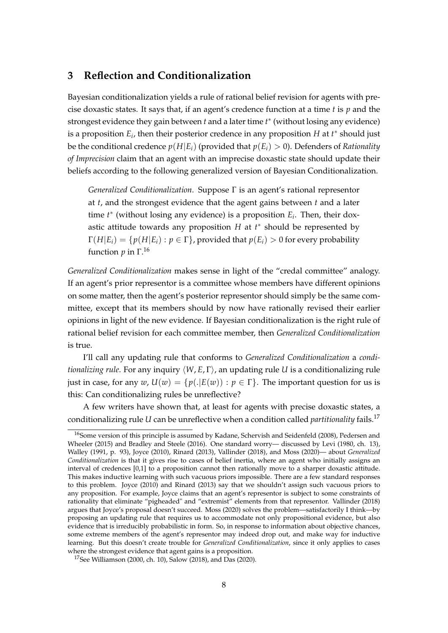# **3 Reflection and Conditionalization**

Bayesian conditionalization yields a rule of rational belief revision for agents with precise doxastic states. It says that, if an agent's credence function at a time *t* is *p* and the strongest evidence they gain between *t* and a later time *t ∗* (without losing any evidence) is a proposition *E*<sub>*i*</sub>, then their posterior credence in any proposition *H* at *t*<sup>∗</sup> should just be the conditional credence  $p(H|E_i)$  (provided that  $p(E_i) > 0$ ). Defenders of *Rationality of Imprecision* claim that an agent with an imprecise doxastic state should update their beliefs according to the following generalized version of Bayesian Conditionalization.

*Generalized Conditionalization*. Suppose Γ is an agent's rational representor at *t*, and the strongest evidence that the agent gains between *t* and a later time  $t^*$  (without losing any evidence) is a proposition  $E_i$ . Then, their doxastic attitude towards any proposition *H* at *t ∗* should be represented by  $\Gamma(H|E_i) = \{p(H|E_i) : p \in \Gamma\}$ , provided that  $p(E_i) > 0$  for every probability function *p* in Γ. 16

*Generalized Conditionalization* makes sense in light of the "credal committee" analogy. If an agent's prior representor is a committee whose members have different opinions on some matter, then the agent's posterior representor should simply be the same committee, except that its members should by now have rationally revised their earlier opinions in light of the new evidence. If Bayesian conditionalization is the right rule of rational belief revision for each committee member, then *Generalized Conditionalization* is true.

I'll call any updating rule that conforms to *Generalized Conditionalization* a *conditionalizing rule*. For any inquiry *⟨W*, *E*, Γ*⟩*, an updating rule *U* is a conditionalizing rule just in case, for any  $w$ ,  $U(w) = \{p(.|E(w)) : p \in \Gamma\}$ . The important question for us is this: Can conditionalizing rules be unreflective?

A few writers have shown that, at least for agents with precise doxastic states, a conditionalizing rule *U* can be unreflective when a condition called *partitionality* fails.<sup>17</sup>

<sup>&</sup>lt;sup>16</sup>Some version of this principle is assumed by Kadane, Schervish and Seidenfeld (2008), Pedersen and Wheeler (2015) and Bradley and Steele (2016). One standard worry— discussed by Levi (1980, ch. 13), Walley (1991, p. 93), Joyce (2010), Rinard (2013), Vallinder (2018), and Moss (2020)— about *Generalized Conditionalization* is that it gives rise to cases of belief inertia, where an agent who initially assigns an interval of credences [0,1] to a proposition cannot then rationally move to a sharper doxastic attitude. This makes inductive learning with such vacuous priors impossible. There are a few standard responses to this problem. Joyce (2010) and Rinard (2013) say that we shouldn't assign such vacuous priors to any proposition. For example, Joyce claims that an agent's representor is subject to some constraints of rationality that eliminate "pigheaded" and "extremist" elements from that representor. Vallinder (2018) argues that Joyce's proposal doesn't succeed. Moss (2020) solves the problem—satisfactorily I think—by proposing an updating rule that requires us to accommodate not only propositional evidence, but also evidence that is irreducibly probabilistic in form. So, in response to information about objective chances, some extreme members of the agent's representor may indeed drop out, and make way for inductive learning. But this doesn't create trouble for *Generalized Conditionalization*, since it only applies to cases where the strongest evidence that agent gains is a proposition.

<sup>17</sup>See Williamson (2000, ch. 10), Salow (2018), and Das (2020).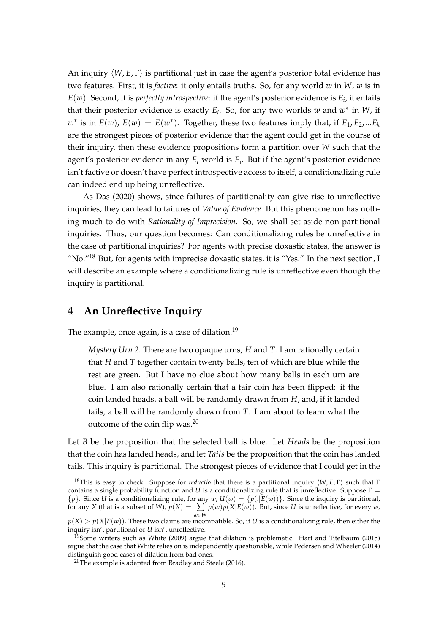An inquiry *⟨W*, *E*, Γ*⟩* is partitional just in case the agent's posterior total evidence has two features. First, it is *factive*: it only entails truths. So, for any world *w* in *W*, *w* is in  $E(w)$ . Second, it is *perfectly introspective*: if the agent's posterior evidence is  $E_i$ , it entails that their posterior evidence is exactly  $E_i$ . So, for any two worlds  $w$  and  $w^*$  in  $W$ , if  $w^*$  is in  $E(w)$ ,  $E(w) = E(w^*)$ . Together, these two features imply that, if  $E_1, E_2, ...E_k$ are the strongest pieces of posterior evidence that the agent could get in the course of their inquiry, then these evidence propositions form a partition over *W* such that the agent's posterior evidence in any *E<sup>i</sup>* -world is *E<sup>i</sup>* . But if the agent's posterior evidence isn't factive or doesn't have perfect introspective access to itself, a conditionalizing rule can indeed end up being unreflective.

As Das (2020) shows, since failures of partitionality can give rise to unreflective inquiries, they can lead to failures of *Value of Evidence*. But this phenomenon has nothing much to do with *Rationality of Imprecision*. So, we shall set aside non-partitional inquiries. Thus, our question becomes: Can conditionalizing rules be unreflective in the case of partitional inquiries? For agents with precise doxastic states, the answer is "No. $^{\prime\prime}$ <sup>18</sup> But, for agents with imprecise doxastic states, it is "Yes." In the next section, I will describe an example where a conditionalizing rule is unreflective even though the inquiry is partitional.

#### **4 An Unreflective Inquiry**

The example, once again, is a case of dilation.<sup>19</sup>

*Mystery Urn 2*. There are two opaque urns, *H* and *T*. I am rationally certain that *H* and *T* together contain twenty balls, ten of which are blue while the rest are green. But I have no clue about how many balls in each urn are blue. I am also rationally certain that a fair coin has been flipped: if the coin landed heads, a ball will be randomly drawn from *H*, and, if it landed tails, a ball will be randomly drawn from *T*. I am about to learn what the outcome of the coin flip was. $20$ 

Let *B* be the proposition that the selected ball is blue. Let *Heads* be the proposition that the coin has landed heads, and let *Tails* be the proposition that the coin has landed tails. This inquiry is partitional. The strongest pieces of evidence that I could get in the

<sup>18</sup>This is easy to check. Suppose for *reductio* that there is a partitional inquiry *⟨W*, *E*, Γ*⟩* such that Γ contains a single probability function and *U* is a conditionalizing rule that is unreflective. Suppose Γ =  ${p}$ . Since *U* is a conditionalizing rule, for any *w*,  $U(w) = {p(.|E(w))}$ . Since the inquiry is partitional, for any *X* (that is a subset of *W*),  $p(X) = \sum p(w)p(X|E(w))$ . But, since *U* is unreflective, for every *w*,

 $p(X) > p(X|E(w)).$  These two claims are incompatible. So, if *U* is a conditionalizing rule, then either the inquiry isn't partitional or *U* isn't unreflective.

<sup>&</sup>lt;sup>19</sup>Some writers such as White (2009) argue that dilation is problematic. Hart and Titelbaum (2015) argue that the case that White relies on is independently questionable, while Pedersen and Wheeler (2014) distinguish good cases of dilation from bad ones.

 $20$ The example is adapted from Bradley and Steele (2016).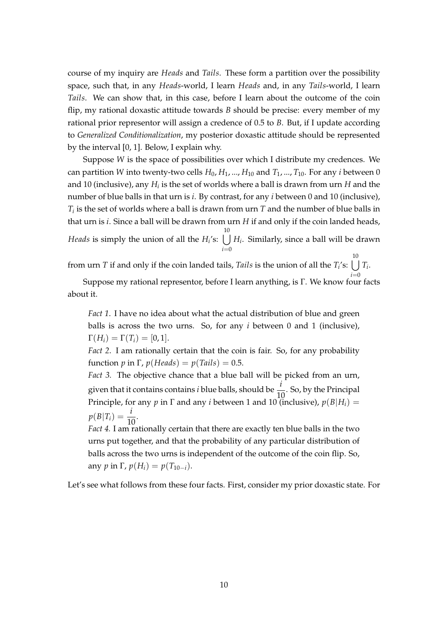course of my inquiry are *Heads* and *Tails*. These form a partition over the possibility space, such that, in any *Heads*-world, I learn *Heads* and, in any *Tails*-world, I learn *Tails*. We can show that, in this case, before I learn about the outcome of the coin flip, my rational doxastic attitude towards *B* should be precise: every member of my rational prior representor will assign a credence of 0.5 to *B*. But, if I update according to *Generalized Conditionalization*, my posterior doxastic attitude should be represented by the interval [0, 1]. Below, I explain why.

Suppose *W* is the space of possibilities over which I distribute my credences. We can partition *W* into twenty-two cells  $H_0$ ,  $H_1$ , ...,  $H_{10}$  and  $T_1$ , ...,  $T_{10}$ . For any *i* between 0 and  $10$  (inclusive), any  $H_i$  is the set of worlds where a ball is drawn from urn  $H$  and the number of blue balls in that urn is *i*. By contrast, for any *i* between 0 and 10 (inclusive), *Ti* is the set of worlds where a ball is drawn from urn *T* and the number of blue balls in that urn is *i*. Since a ball will be drawn from urn *H* if and only if the coin landed heads, *Heads* is simply the union of all the *H<sup>i</sup>* 's: <sup>∪</sup> 10 *i*=0 *Hi* . Similarly, since a ball will be drawn

from urn *T* if and only if the coin landed tails, *Tails* is the union of all the  $T_i$ 's:  $\bigcup T_i$ . 10

*i*=0 Suppose my rational representor, before I learn anything, is Γ. We know four facts about it.

*Fact 1*. I have no idea about what the actual distribution of blue and green balls is across the two urns. So, for any *i* between 0 and 1 (inclusive),  $\Gamma(H_i) = \Gamma(T_i) = [0, 1].$ 

*Fact 2*. I am rationally certain that the coin is fair. So, for any probability function *p* in  $\Gamma$ ,  $p(Heads) = p(Tails) = 0.5$ .

*Fact 3.* The objective chance that a blue ball will be picked from an urn, given that it contains contains *i* blue balls, should be  $\frac{i}{10}$ . So, by the Principal Principle, for any *p* in  $\Gamma$  and any *i* between 1 and 10 (inclusive),  $p(B|H_i)$  =  $p(B|T_i) = \frac{i}{10}$ .

*Fact 4.* I am rationally certain that there are exactly ten blue balls in the two urns put together, and that the probability of any particular distribution of balls across the two urns is independent of the outcome of the coin flip. So, any *p* in  $\Gamma$ ,  $p(H_i) = p(T_{10-i}).$ 

Let's see what follows from these four facts. First, consider my prior doxastic state. For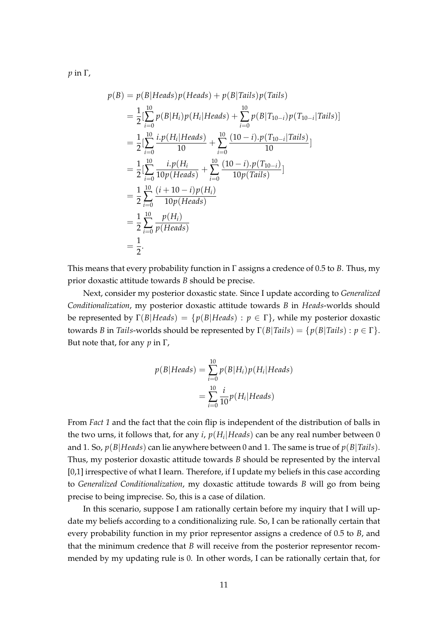*p* in Γ,

$$
p(B) = p(B|Heads)p(Heads) + p(B|Tails)p(Tails)
$$
  
\n
$$
= \frac{1}{2} \left[ \sum_{i=0}^{10} p(B|H_i)p(H_i|Heads) + \sum_{i=0}^{10} p(B|T_{10-i})p(T_{10-i}|Tails) \right]
$$
  
\n
$$
= \frac{1}{2} \left[ \sum_{i=0}^{10} \frac{i \cdot p(H_i|Heads)}{10} + \sum_{i=0}^{10} \frac{(10-i) \cdot p(T_{10-i}|Tails)}{10} \right]
$$
  
\n
$$
= \frac{1}{2} \left[ \sum_{i=0}^{10} \frac{i \cdot p(H_i)}{10p(Heads)} + \sum_{i=0}^{10} \frac{(10-i) \cdot p(T_{10-i})}{10p(Tails)} \right]
$$
  
\n
$$
= \frac{1}{2} \sum_{i=0}^{10} \frac{(i+10-i)p(H_i)}{10p(Heads)}
$$
  
\n
$$
= \frac{1}{2} \sum_{i=0}^{10} \frac{p(H_i)}{p(Heads)}
$$
  
\n
$$
= \frac{1}{2}.
$$

This means that every probability function in Γ assigns a credence of 0.5 to *B*. Thus, my prior doxastic attitude towards *B* should be precise.

Next, consider my posterior doxastic state. Since I update according to *Generalized Conditionalization*, my posterior doxastic attitude towards *B* in *Heads*-worlds should be represented by  $\Gamma(B|Heads) = \{p(B|Heads): p \in \Gamma\}$ , while my posterior doxastic towards *B* in *Tails*-worlds should be represented by  $\Gamma(B|Tails) = \{p(B|Tails) : p \in \Gamma\}.$ But note that, for any *p* in Γ,

$$
p(B|Heads) = \sum_{i=0}^{10} p(B|H_i)p(H_i|Heads)
$$

$$
= \sum_{i=0}^{10} \frac{i}{10} p(H_i|Heads)
$$

From *Fact 1* and the fact that the coin flip is independent of the distribution of balls in the two urns, it follows that, for any *i*, *p*(*H<sup>i</sup> |Heads*) can be any real number between 0 and 1. So, *p*(*B|Heads*) can lie anywhere between 0 and 1. The same is true of *p*(*B|Tails*). Thus, my posterior doxastic attitude towards *B* should be represented by the interval [0,1] irrespective of what I learn. Therefore, if I update my beliefs in this case according to *Generalized Conditionalization*, my doxastic attitude towards *B* will go from being precise to being imprecise. So, this is a case of dilation.

In this scenario, suppose I am rationally certain before my inquiry that I will update my beliefs according to a conditionalizing rule. So, I can be rationally certain that every probability function in my prior representor assigns a credence of 0.5 to *B*, and that the minimum credence that *B* will receive from the posterior representor recommended by my updating rule is 0. In other words, I can be rationally certain that, for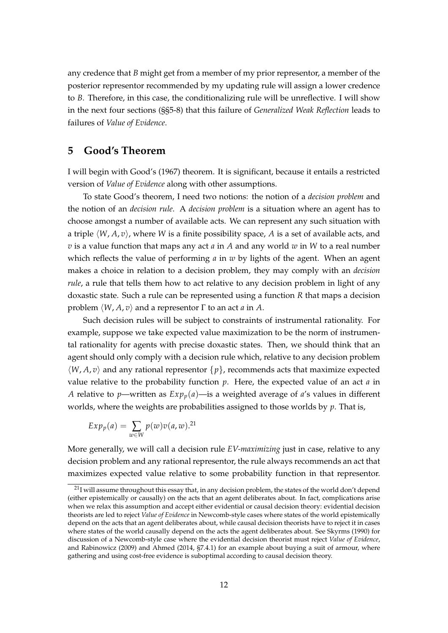any credence that *B* might get from a member of my prior representor, a member of the posterior representor recommended by my updating rule will assign a lower credence to *B*. Therefore, in this case, the conditionalizing rule will be unreflective. I will show in the next four sections (§§5-8) that this failure of *Generalized Weak Reflection* leads to failures of *Value of Evidence*.

#### **5 Good's Theorem**

I will begin with Good's (1967) theorem. It is significant, because it entails a restricted version of *Value of Evidence* along with other assumptions.

To state Good's theorem, I need two notions: the notion of a *decision problem* and the notion of an *decision rule*. A *decision problem* is a situation where an agent has to choose amongst a number of available acts. We can represent any such situation with a triple  $\langle W, A, v \rangle$ , where *W* is a finite possibility space, *A* is a set of available acts, and *v* is a value function that maps any act *a* in *A* and any world *w* in *W* to a real number which reflects the value of performing *a* in *w* by lights of the agent. When an agent makes a choice in relation to a decision problem, they may comply with an *decision rule*, a rule that tells them how to act relative to any decision problem in light of any doxastic state. Such a rule can be represented using a function *R* that maps a decision problem *⟨W*, *A*, *v⟩* and a representor Γ to an act *a* in *A*.

Such decision rules will be subject to constraints of instrumental rationality. For example, suppose we take expected value maximization to be the norm of instrumental rationality for agents with precise doxastic states. Then, we should think that an agent should only comply with a decision rule which, relative to any decision problem *⟨W*, *A*, *v⟩* and any rational representor *{p}*, recommends acts that maximize expected value relative to the probability function *p*. Here, the expected value of an act *a* in *A* relative to *p*—written as  $Exp_p(a)$ —is a weighted average of *a*'s values in different worlds, where the weights are probabilities assigned to those worlds by *p*. That is,

$$
Exp_p(a) = \sum_{w \in W} p(w)v(a, w).^{21}
$$

More generally, we will call a decision rule *EV-maximizing* just in case, relative to any decision problem and any rational representor, the rule always recommends an act that maximizes expected value relative to some probability function in that representor.

 $^{21}$ I will assume throughout this essay that, in any decision problem, the states of the world don't depend (either epistemically or causally) on the acts that an agent deliberates about. In fact, complications arise when we relax this assumption and accept either evidential or causal decision theory: evidential decision theorists are led to reject *Value of Evidence* in Newcomb-style cases where states of the world epistemically depend on the acts that an agent deliberates about, while causal decision theorists have to reject it in cases where states of the world causally depend on the acts the agent deliberates about. See Skyrms (1990) for discussion of a Newcomb-style case where the evidential decision theorist must reject *Value of Evidence*, and Rabinowicz (2009) and Ahmed (2014, §7.4.1) for an example about buying a suit of armour, where gathering and using cost-free evidence is suboptimal according to causal decision theory.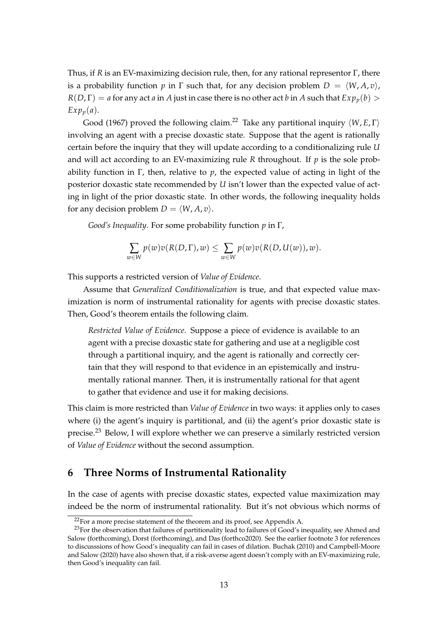Thus, if *R* is an EV-maximizing decision rule, then, for any rational representor Γ, there is a probability function *p* in  $\Gamma$  such that, for any decision problem  $D = \langle W, A, v \rangle$ ,  $R(D,\Gamma) = a$  for any act *a* in *A* just in case there is no other act *b* in *A* such that  $Exp_p(b)$  *>*  $Exp_p(a)$ .

Good (1967) proved the following claim.<sup>22</sup> Take any partitional inquiry  $\langle W, E, \Gamma \rangle$ involving an agent with a precise doxastic state. Suppose that the agent is rationally certain before the inquiry that they will update according to a conditionalizing rule *U* and will act according to an EV-maximizing rule *R* throughout. If *p* is the sole probability function in Γ, then, relative to *p*, the expected value of acting in light of the posterior doxastic state recommended by *U* isn't lower than the expected value of acting in light of the prior doxastic state. In other words, the following inequality holds for any decision problem  $D = \langle W, A, v \rangle$ .

*Good's Inequality*. For some probability function *p* in Γ,

$$
\sum_{w \in W} p(w)v(R(D,\Gamma),w) \leq \sum_{w \in W} p(w)v(R(D,U(w)),w).
$$

This supports a restricted version of *Value of Evidence*.

Assume that *Generalized Conditionalization* is true, and that expected value maximization is norm of instrumental rationality for agents with precise doxastic states. Then, Good's theorem entails the following claim.

*Restricted Value of Evidence*. Suppose a piece of evidence is available to an agent with a precise doxastic state for gathering and use at a negligible cost through a partitional inquiry, and the agent is rationally and correctly certain that they will respond to that evidence in an epistemically and instrumentally rational manner. Then, it is instrumentally rational for that agent to gather that evidence and use it for making decisions.

This claim is more restricted than *Value of Evidence* in two ways: it applies only to cases where (i) the agent's inquiry is partitional, and (ii) the agent's prior doxastic state is precise.<sup>23</sup> Below, I will explore whether we can preserve a similarly restricted version of *Value of Evidence* without the second assumption.

#### **6 Three Norms of Instrumental Rationality**

In the case of agents with precise doxastic states, expected value maximization may indeed be the norm of instrumental rationality. But it's not obvious which norms of

 $22$ For a more precise statement of the theorem and its proof, see Appendix A.

<sup>&</sup>lt;sup>23</sup>For the observation that failures of partitionality lead to failures of Good's inequality, see Ahmed and Salow (forthcoming), Dorst (forthcoming), and Das (forthco2020). See the earlier footnote 3 for references to discusssions of how Good's inequality can fail in cases of dilation. Buchak (2010) and Campbell-Moore and Salow (2020) have also shown that, if a risk-averse agent doesn't comply with an EV-maximizing rule, then Good's inequality can fail.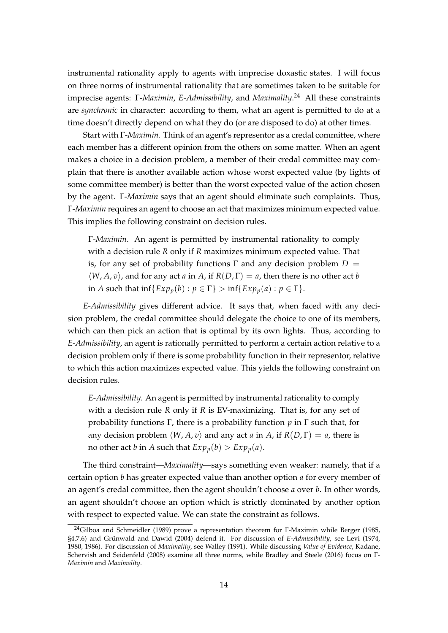instrumental rationality apply to agents with imprecise doxastic states. I will focus on three norms of instrumental rationality that are sometimes taken to be suitable for imprecise agents: Γ-*Maximin*, *E-Admissibility*, and *Maximality*. <sup>24</sup> All these constraints are *synchronic* in character: according to them, what an agent is permitted to do at a time doesn't directly depend on what they do (or are disposed to do) at other times.

Start with Γ-*Maximin*. Think of an agent's representor as a credal committee, where each member has a different opinion from the others on some matter. When an agent makes a choice in a decision problem, a member of their credal committee may complain that there is another available action whose worst expected value (by lights of some committee member) is better than the worst expected value of the action chosen by the agent. Γ-*Maximin* says that an agent should eliminate such complaints. Thus, Γ-*Maximin* requires an agent to choose an act that maximizes minimum expected value. This implies the following constraint on decision rules.

Γ*-Maximin*. An agent is permitted by instrumental rationality to comply with a decision rule *R* only if *R* maximizes minimum expected value. That is, for any set of probability functions  $\Gamma$  and any decision problem  $D =$  $\langle W, A, v \rangle$ , and for any act *a* in *A*, if  $R(D, \Gamma) = a$ , then there is no other act *b* in *A* such that inf $\{Exp_p(b) : p \in \Gamma\} > \inf\{Exp_p(a) : p \in \Gamma\}.$ 

*E-Admissibility* gives different advice. It says that, when faced with any decision problem, the credal committee should delegate the choice to one of its members, which can then pick an action that is optimal by its own lights. Thus, according to *E-Admissibility*, an agent is rationally permitted to perform a certain action relative to a decision problem only if there is some probability function in their representor, relative to which this action maximizes expected value. This yields the following constraint on decision rules.

*E-Admissibility*. An agent is permitted by instrumental rationality to comply with a decision rule *R* only if *R* is EV-maximizing. That is, for any set of probability functions Γ, there is a probability function *p* in Γ such that, for any decision problem  $\langle W, A, v \rangle$  and any act *a* in *A*, if  $R(D, \Gamma) = a$ , there is no other act *b* in *A* such that  $Exp_p(b) > Exp_p(a)$ .

The third constraint—*Maximality*—says something even weaker: namely, that if a certain option *b* has greater expected value than another option *a* for every member of an agent's credal committee, then the agent shouldn't choose *a* over *b*. In other words, an agent shouldn't choose an option which is strictly dominated by another option with respect to expected value. We can state the constraint as follows.

<sup>24</sup>Gilboa and Schmeidler (1989) prove a representation theorem for Γ-Maximin while Berger (1985, §4.7.6) and Grünwald and Dawid (2004) defend it. For discussion of *E-Admissibility*, see Levi (1974, 1980, 1986). For discussion of *Maximality*, see Walley (1991). While discussing *Value of Evidence*, Kadane, Schervish and Seidenfeld (2008) examine all three norms, while Bradley and Steele (2016) focus on Γ-*Maximin* and *Maximality*.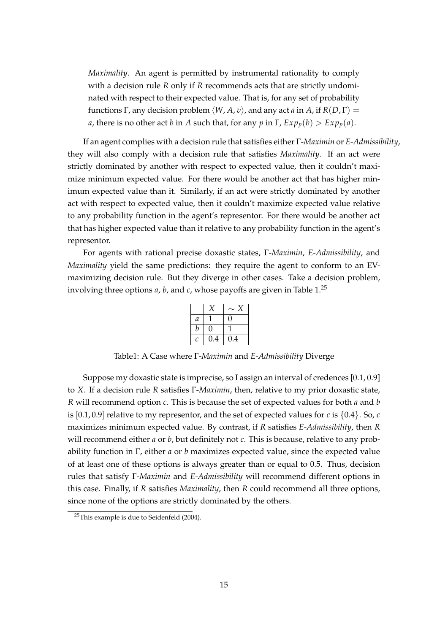*Maximality*. An agent is permitted by instrumental rationality to comply with a decision rule *R* only if *R* recommends acts that are strictly undominated with respect to their expected value. That is, for any set of probability functions Γ, any decision problem *⟨W*, *A*, *v⟩*, and any act *a* in *A*, if *R*(*D*, Γ) = *a*, there is no other act *b* in *A* such that, for any *p* in  $\Gamma$ ,  $Exp_p(b) > Exp_p(a)$ .

If an agent complies with a decision rule that satisfies either Γ-*Maximin* or *E-Admissibility*, they will also comply with a decision rule that satisfies *Maximality*. If an act were strictly dominated by another with respect to expected value, then it couldn't maximize minimum expected value. For there would be another act that has higher minimum expected value than it. Similarly, if an act were strictly dominated by another act with respect to expected value, then it couldn't maximize expected value relative to any probability function in the agent's representor. For there would be another act that has higher expected value than it relative to any probability function in the agent's representor.

For agents with rational precise doxastic states, Γ-*Maximin*, *E-Admissibility*, and *Maximality* yield the same predictions: they require the agent to conform to an EVmaximizing decision rule. But they diverge in other cases. Take a decision problem, involving three options *a*, *b*, and *c*, whose payoffs are given in Table 1.<sup>25</sup>

|   |     | $\sim$ |
|---|-----|--------|
| а |     | 0      |
| b | ۱)  |        |
| C | 0.4 | 0.4    |

Table1: A Case where Γ-*Maximin* and *E-Admissibility* Diverge

Suppose my doxastic state is imprecise, so I assign an interval of credences [0.1, 0.9] to *X*. If a decision rule *R* satisfies Γ-*Maximin*, then, relative to my prior doxastic state, *R* will recommend option *c*. This is because the set of expected values for both *a* and *b* is [0.1, 0.9] relative to my representor, and the set of expected values for *c* is *{*0.4*}*. So, *c* maximizes minimum expected value. By contrast, if *R* satisfies *E-Admissibility*, then *R* will recommend either *a* or *b*, but definitely not *c*. This is because, relative to any probability function in Γ, either *a* or *b* maximizes expected value, since the expected value of at least one of these options is always greater than or equal to 0.5. Thus, decision rules that satisfy Γ-*Maximin* and *E-Admissibility* will recommend different options in this case. Finally, if *R* satisfies *Maximality*, then *R* could recommend all three options, since none of the options are strictly dominated by the others.

<sup>&</sup>lt;sup>25</sup>This example is due to Seidenfeld (2004).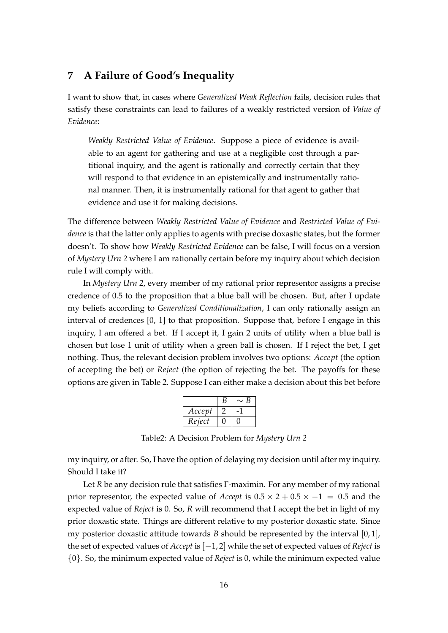# **7 A Failure of Good's Inequality**

I want to show that, in cases where *Generalized Weak Reflection* fails, decision rules that satisfy these constraints can lead to failures of a weakly restricted version of *Value of Evidence*:

*Weakly Restricted Value of Evidence*. Suppose a piece of evidence is available to an agent for gathering and use at a negligible cost through a partitional inquiry, and the agent is rationally and correctly certain that they will respond to that evidence in an epistemically and instrumentally rational manner. Then, it is instrumentally rational for that agent to gather that evidence and use it for making decisions.

The difference between *Weakly Restricted Value of Evidence* and *Restricted Value of Evidence* is that the latter only applies to agents with precise doxastic states, but the former doesn't. To show how *Weakly Restricted Evidence* can be false, I will focus on a version of *Mystery Urn 2* where I am rationally certain before my inquiry about which decision rule I will comply with.

In *Mystery Urn 2*, every member of my rational prior representor assigns a precise credence of 0.5 to the proposition that a blue ball will be chosen. But, after I update my beliefs according to *Generalized Conditionalization*, I can only rationally assign an interval of credences [0, 1] to that proposition. Suppose that, before I engage in this inquiry, I am offered a bet. If I accept it, I gain 2 units of utility when a blue ball is chosen but lose 1 unit of utility when a green ball is chosen. If I reject the bet, I get nothing. Thus, the relevant decision problem involves two options: *Accept* (the option of accepting the bet) or *Reject* (the option of rejecting the bet. The payoffs for these options are given in Table 2. Suppose I can either make a decision about this bet before

|        | B | B |
|--------|---|---|
| Accept |   |   |
| Reject |   |   |

Table2: A Decision Problem for *Mystery Urn 2*

my inquiry, or after. So, I have the option of delaying my decision until after my inquiry. Should I take it?

Let *R* be any decision rule that satisfies Γ-maximin. For any member of my rational prior representor, the expected value of *Accept* is 0.5 *×* 2 + 0.5 *× −*1 = 0.5 and the expected value of *Reject* is 0. So, *R* will recommend that I accept the bet in light of my prior doxastic state. Things are different relative to my posterior doxastic state. Since my posterior doxastic attitude towards *B* should be represented by the interval  $[0, 1]$ , the set of expected values of *Accept* is [*−*1, 2] while the set of expected values of *Reject* is *{*0*}*. So, the minimum expected value of *Reject* is 0, while the minimum expected value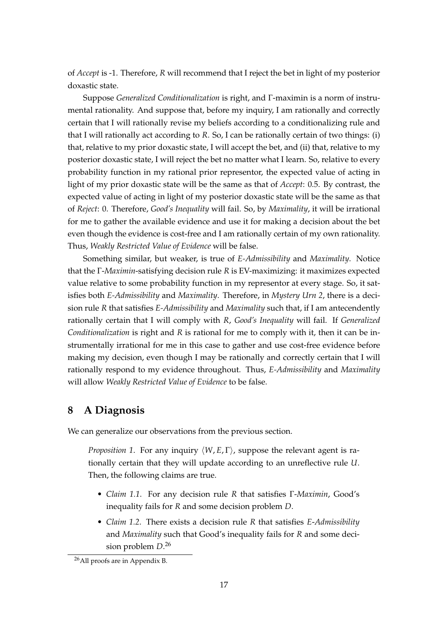of *Accept* is -1. Therefore, *R* will recommend that I reject the bet in light of my posterior doxastic state.

Suppose *Generalized Conditionalization* is right, and Γ-maximin is a norm of instrumental rationality. And suppose that, before my inquiry, I am rationally and correctly certain that I will rationally revise my beliefs according to a conditionalizing rule and that I will rationally act according to *R*. So, I can be rationally certain of two things: (i) that, relative to my prior doxastic state, I will accept the bet, and (ii) that, relative to my posterior doxastic state, I will reject the bet no matter what I learn. So, relative to every probability function in my rational prior representor, the expected value of acting in light of my prior doxastic state will be the same as that of *Accept*: 0.5. By contrast, the expected value of acting in light of my posterior doxastic state will be the same as that of *Reject*: 0. Therefore, *Good's Inequality* will fail. So, by *Maximality*, it will be irrational for me to gather the available evidence and use it for making a decision about the bet even though the evidence is cost-free and I am rationally certain of my own rationality. Thus, *Weakly Restricted Value of Evidence* will be false.

Something similar, but weaker, is true of *E-Admissibility* and *Maximality*. Notice that the Γ-*Maximin*-satisfying decision rule *R* is EV-maximizing: it maximizes expected value relative to some probability function in my representor at every stage. So, it satisfies both *E-Admissibility* and *Maximality*. Therefore, in *Mystery Urn 2*, there is a decision rule *R* that satisfies *E-Admissibility* and *Maximality* such that, if I am antecendently rationally certain that I will comply with *R*, *Good's Inequality* will fail. If *Generalized Conditionalization* is right and *R* is rational for me to comply with it, then it can be instrumentally irrational for me in this case to gather and use cost-free evidence before making my decision, even though I may be rationally and correctly certain that I will rationally respond to my evidence throughout. Thus, *E-Admissibility* and *Maximality* will allow *Weakly Restricted Value of Evidence* to be false.

# **8 A Diagnosis**

We can generalize our observations from the previous section.

*Proposition 1*. For any inquiry *⟨W*, *E*, Γ*⟩*, suppose the relevant agent is rationally certain that they will update according to an unreflective rule *U*. Then, the following claims are true.

- *Claim 1.1*. For any decision rule *R* that satisfies Γ-*Maximin*, Good's inequality fails for *R* and some decision problem *D*.
- *Claim 1.2*. There exists a decision rule *R* that satisfies *E*-*Admissibility* and *Maximality* such that Good's inequality fails for *R* and some decision problem *D*. 26

<sup>26</sup>All proofs are in Appendix B.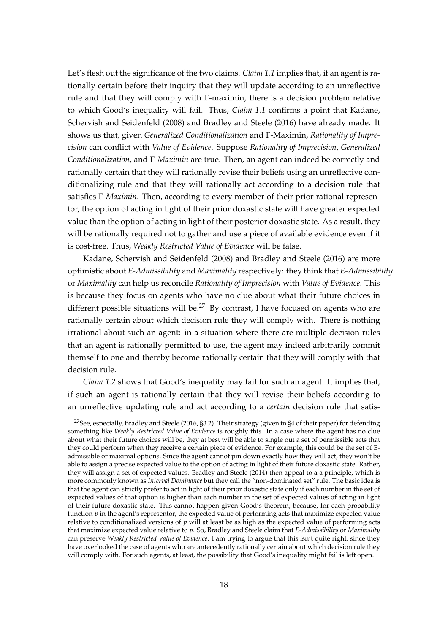Let's flesh out the significance of the two claims. *Claim 1.1* implies that, if an agent is rationally certain before their inquiry that they will update according to an unreflective rule and that they will comply with Γ-maximin, there is a decision problem relative to which Good's inequality will fail. Thus, *Claim 1.1* confirms a point that Kadane, Schervish and Seidenfeld (2008) and Bradley and Steele (2016) have already made. It shows us that, given *Generalized Conditionalization* and Γ-Maximin, *Rationality of Imprecision* can conflict with *Value of Evidence*. Suppose *Rationality of Imprecision*, *Generalized Conditionalization*, and Γ-*Maximin* are true. Then, an agent can indeed be correctly and rationally certain that they will rationally revise their beliefs using an unreflective conditionalizing rule and that they will rationally act according to a decision rule that satisfies Γ-*Maximin*. Then, according to every member of their prior rational representor, the option of acting in light of their prior doxastic state will have greater expected value than the option of acting in light of their posterior doxastic state. As a result, they will be rationally required not to gather and use a piece of available evidence even if it is cost-free. Thus, *Weakly Restricted Value of Evidence* will be false.

Kadane, Schervish and Seidenfeld (2008) and Bradley and Steele (2016) are more optimistic about *E-Admissibility* and *Maximality* respectively: they think that *E-Admissibility* or *Maximality* can help us reconcile *Rationality of Imprecision* with *Value of Evidence*. This is because they focus on agents who have no clue about what their future choices in different possible situations will be.<sup>27</sup> By contrast, I have focused on agents who are rationally certain about which decision rule they will comply with. There is nothing irrational about such an agent: in a situation where there are multiple decision rules that an agent is rationally permitted to use, the agent may indeed arbitrarily commit themself to one and thereby become rationally certain that they will comply with that decision rule.

*Claim 1.2* shows that Good's inequality may fail for such an agent. It implies that, if such an agent is rationally certain that they will revise their beliefs according to an unreflective updating rule and act according to a *certain* decision rule that satis-

<sup>27</sup>See, especially, Bradley and Steele (2016, §3.2). Their strategy (given in §4 of their paper) for defending something like *Weakly Restricted Value of Evidence* is roughly this. In a case where the agent has no clue about what their future choices will be, they at best will be able to single out a set of permissible acts that they could perform when they receive a certain piece of evidence. For example, this could be the set of Eadmissible or maximal options. Since the agent cannot pin down exactly how they will act, they won't be able to assign a precise expected value to the option of acting in light of their future doxastic state. Rather, they will assign a set of expected values. Bradley and Steele (2014) then appeal to a a principle, which is more commonly known as *Interval Dominance* but they call the "non-dominated set" rule. The basic idea is that the agent can strictly prefer to act in light of their prior doxastic state only if each number in the set of expected values of that option is higher than each number in the set of expected values of acting in light of their future doxastic state. This cannot happen given Good's theorem, because, for each probability function *p* in the agent's representor, the expected value of performing acts that maximize expected value relative to conditionalized versions of *p* will at least be as high as the expected value of performing acts that maximize expected value relative to *p*. So, Bradley and Steele claim that *E-Admissibility* or *Maximality* can preserve *Weakly Restricted Value of Evidence*. I am trying to argue that this isn't quite right, since they have overlooked the case of agents who are antecedently rationally certain about which decision rule they will comply with. For such agents, at least, the possibility that Good's inequality might fail is left open.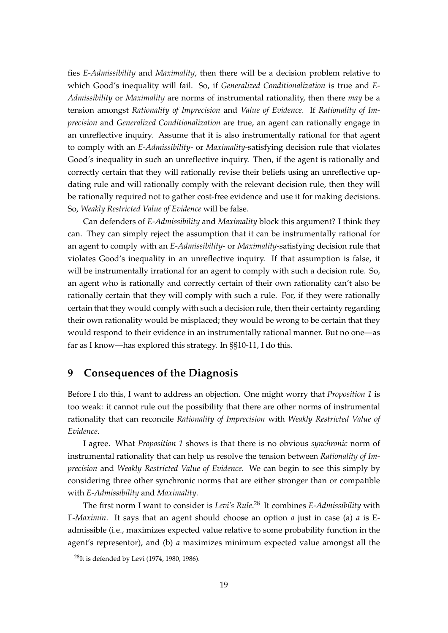fies *E-Admissibility* and *Maximality*, then there will be a decision problem relative to which Good's inequality will fail. So, if *Generalized Conditionalization* is true and *E-Admissibility* or *Maximality* are norms of instrumental rationality, then there *may* be a tension amongst *Rationality of Imprecision* and *Value of Evidence*. If *Rationality of Imprecision* and *Generalized Conditionalization* are true, an agent can rationally engage in an unreflective inquiry. Assume that it is also instrumentally rational for that agent to comply with an *E-Admissibility*- or *Maximality*-satisfying decision rule that violates Good's inequality in such an unreflective inquiry. Then, if the agent is rationally and correctly certain that they will rationally revise their beliefs using an unreflective updating rule and will rationally comply with the relevant decision rule, then they will be rationally required not to gather cost-free evidence and use it for making decisions. So, *Weakly Restricted Value of Evidence* will be false.

Can defenders of *E-Admissibility* and *Maximality* block this argument? I think they can. They can simply reject the assumption that it can be instrumentally rational for an agent to comply with an *E-Admissibility*- or *Maximality*-satisfying decision rule that violates Good's inequality in an unreflective inquiry. If that assumption is false, it will be instrumentally irrational for an agent to comply with such a decision rule. So, an agent who is rationally and correctly certain of their own rationality can't also be rationally certain that they will comply with such a rule. For, if they were rationally certain that they would comply with such a decision rule, then their certainty regarding their own rationality would be misplaced; they would be wrong to be certain that they would respond to their evidence in an instrumentally rational manner. But no one—as far as I know—has explored this strategy. In §§10-11, I do this.

# **9 Consequences of the Diagnosis**

Before I do this, I want to address an objection. One might worry that *Proposition 1* is too weak: it cannot rule out the possibility that there are other norms of instrumental rationality that can reconcile *Rationality of Imprecision* with *Weakly Restricted Value of Evidence*.

I agree. What *Proposition 1* shows is that there is no obvious *synchronic* norm of instrumental rationality that can help us resolve the tension between *Rationality of Imprecision* and *Weakly Restricted Value of Evidence*. We can begin to see this simply by considering three other synchronic norms that are either stronger than or compatible with *E-Admissibility* and *Maximality*.

The first norm I want to consider is *Levi's Rule*. <sup>28</sup> It combines *E-Admissibility* with Γ-*Maximin*. It says that an agent should choose an option *a* just in case (a) *a* is Eadmissible (i.e., maximizes expected value relative to some probability function in the agent's representor), and (b) *a* maximizes minimum expected value amongst all the

<sup>28</sup>It is defended by Levi (1974, 1980, 1986).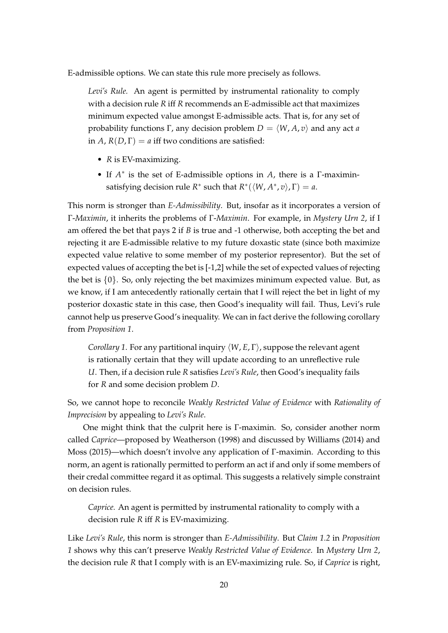E-admissible options. We can state this rule more precisely as follows.

*Levi's Rule.* An agent is permitted by instrumental rationality to comply with a decision rule *R* iff *R* recommends an E-admissible act that maximizes minimum expected value amongst E-admissible acts. That is, for any set of probability functions  $\Gamma$ , any decision problem  $D = \langle W, A, v \rangle$  and any act *a* in *A*,  $R(D, \Gamma) = a$  iff two conditions are satisfied:

- *R* is EV-maximizing.
- If *A ∗* is the set of E-admissible options in *A*, there is a Γ-maximinsatisfying decision rule  $R^*$  such that  $R^*({\langle} W, A^*, v{\rangle}, \Gamma) = a$ .

This norm is stronger than *E-Admissibility*. But, insofar as it incorporates a version of Γ-*Maximin*, it inherits the problems of Γ-*Maximin*. For example, in *Mystery Urn 2*, if I am offered the bet that pays 2 if *B* is true and -1 otherwise, both accepting the bet and rejecting it are E-admissible relative to my future doxastic state (since both maximize expected value relative to some member of my posterior representor). But the set of expected values of accepting the bet is [-1,2] while the set of expected values of rejecting the bet is *{*0*}*. So, only rejecting the bet maximizes minimum expected value. But, as we know, if I am antecedently rationally certain that I will reject the bet in light of my posterior doxastic state in this case, then Good's inequality will fail. Thus, Levi's rule cannot help us preserve Good's inequality. We can in fact derive the following corollary from *Proposition 1*.

*Corollary 1*. For any partitional inquiry *⟨W*, *E*, Γ*⟩*, suppose the relevant agent is rationally certain that they will update according to an unreflective rule *U*. Then, if a decision rule *R* satisfies *Levi's Rule*, then Good's inequality fails for *R* and some decision problem *D*.

So, we cannot hope to reconcile *Weakly Restricted Value of Evidence* with *Rationality of Imprecision* by appealing to *Levi's Rule*.

One might think that the culprit here is Γ-maximin. So, consider another norm called *Caprice*—proposed by Weatherson (1998) and discussed by Williams (2014) and Moss (2015)—which doesn't involve any application of Γ-maximin. According to this norm, an agent is rationally permitted to perform an act if and only if some members of their credal committee regard it as optimal. This suggests a relatively simple constraint on decision rules.

*Caprice.* An agent is permitted by instrumental rationality to comply with a decision rule *R* iff *R* is EV-maximizing.

Like *Levi's Rule*, this norm is stronger than *E-Admissibility*. But *Claim 1.2* in *Proposition 1* shows why this can't preserve *Weakly Restricted Value of Evidence*. In *Mystery Urn 2*, the decision rule *R* that I comply with is an EV-maximizing rule. So, if *Caprice* is right,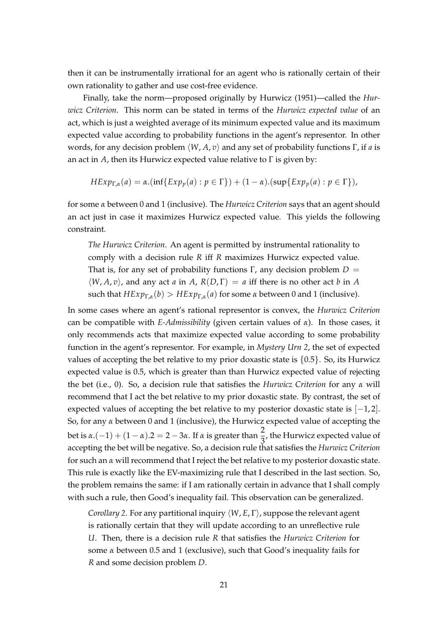then it can be instrumentally irrational for an agent who is rationally certain of their own rationality to gather and use cost-free evidence.

Finally, take the norm—proposed originally by Hurwicz (1951)—called the *Hurwicz Criterion*. This norm can be stated in terms of the *Hurwicz expected value* of an act, which is just a weighted average of its minimum expected value and its maximum expected value according to probability functions in the agent's representor. In other words, for any decision problem *⟨W*, *A*, *v⟩* and any set of probability functions Γ, if *a* is an act in *A*, then its Hurwicz expected value relative to Γ is given by:

$$
HExp_{\Gamma,\alpha}(a) = \alpha \cdot (\inf\{Exp_p(a) : p \in \Gamma\}) + (1 - \alpha) \cdot (\sup\{Exp_p(a) : p \in \Gamma\}),
$$

for some *α* between 0 and 1 (inclusive). The *Hurwicz Criterion* says that an agent should an act just in case it maximizes Hurwicz expected value. This yields the following constraint.

*The Hurwicz Criterion*. An agent is permitted by instrumental rationality to comply with a decision rule *R* iff *R* maximizes Hurwicz expected value. That is, for any set of probability functions Γ, any decision problem *D* =  $\langle W, A, v \rangle$ , and any act *a* in *A*,  $R(D, \Gamma) = a$  iff there is no other act *b* in *A* such that  $HExp_{\Gamma,\alpha}(b) > HExp_{\Gamma,\alpha}(a)$  for some  $\alpha$  between 0 and 1 (inclusive).

In some cases where an agent's rational representor is convex, the *Hurwicz Criterion* can be compatible with *E-Admissibility* (given certain values of *α*). In those cases, it only recommends acts that maximize expected value according to some probability function in the agent's representor. For example, in *Mystery Urn 2*, the set of expected values of accepting the bet relative to my prior doxastic state is *{*0.5*}*. So, its Hurwicz expected value is 0.5, which is greater than than Hurwicz expected value of rejecting the bet (i.e., 0). So, a decision rule that satisfies the *Hurwicz Criterion* for any *α* will recommend that I act the bet relative to my prior doxastic state. By contrast, the set of expected values of accepting the bet relative to my posterior doxastic state is [*−*1, 2]. So, for any *α* between 0 and 1 (inclusive), the Hurwicz expected value of accepting the bet is  $\alpha.(-1) + (1 - \alpha).2 = 2 - 3\alpha$ . If  $\alpha$  is greater than  $\frac{2}{3}$ , the Hurwicz expected value of accepting the bet will be negative. So, a decision rule that satisfies the *Hurwicz Criterion* for such an *α* will recommend that I reject the bet relative to my posterior doxastic state. This rule is exactly like the EV-maximizing rule that I described in the last section. So, the problem remains the same: if I am rationally certain in advance that I shall comply with such a rule, then Good's inequality fail. This observation can be generalized.

*Corollary 2*. For any partitional inquiry *⟨W*, *E*, Γ*⟩*, suppose the relevant agent is rationally certain that they will update according to an unreflective rule *U*. Then, there is a decision rule *R* that satisfies the *Hurwicz Criterion* for some *α* between 0.5 and 1 (exclusive), such that Good's inequality fails for *R* and some decision problem *D*.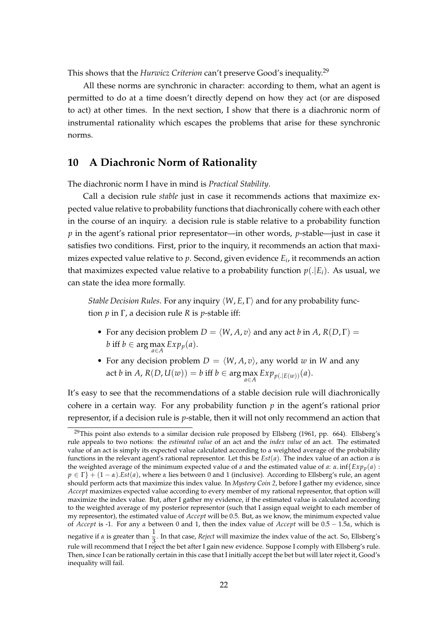This shows that the *Hurwicz Criterion* can't preserve Good's inequality.<sup>29</sup>

All these norms are synchronic in character: according to them, what an agent is permitted to do at a time doesn't directly depend on how they act (or are disposed to act) at other times. In the next section, I show that there is a diachronic norm of instrumental rationality which escapes the problems that arise for these synchronic norms.

# **10 A Diachronic Norm of Rationality**

The diachronic norm I have in mind is *Practical Stability*.

Call a decision rule *stable* just in case it recommends actions that maximize expected value relative to probability functions that diachronically cohere with each other in the course of an inquiry. a decision rule is stable relative to a probability function *p* in the agent's rational prior representator—in other words, *p*-stable—just in case it satisfies two conditions. First, prior to the inquiry, it recommends an action that maximizes expected value relative to *p*. Second, given evidence *E<sup>i</sup>* , it recommends an action that maximizes expected value relative to a probability function  $p(.|E_i)$ . As usual, we can state the idea more formally.

*Stable Decision Rules*. For any inquiry *⟨W*, *E*, Γ*⟩* and for any probability function *p* in Γ, a decision rule *R* is *p*-stable iff:

- For any decision problem  $D = \langle W, A, v \rangle$  and any act *b* in *A*,  $R(D, \Gamma) =$  $b$  iff  $b \in \arg \max_{a \in A} Exp_p(a)$ .
- For any decision problem  $D = \langle W, A, v \rangle$ , any world *w* in *W* and any  $\operatorname{act} b$  in *A*,  $R(D, U(w)) = b$  iff  $b \in \arg\max_{a \in A} Exp_{p(.|E(w))}(a).$

It's easy to see that the recommendations of a stable decision rule will diachronically cohere in a certain way. For any probability function *p* in the agent's rational prior representor, if a decision rule is *p*-stable, then it will not only recommend an action that

<sup>&</sup>lt;sup>29</sup>This point also extends to a similar decision rule proposed by Ellsberg (1961, pp. 664). Ellsberg's rule appeals to two notions: the *estimated value* of an act and the *index value* of an act. The estimated value of an act is simply its expected value calculated according to a weighted average of the probability functions in the relevant agent's rational representor. Let this be *Est*(*a*). The index value of an action *a* is the weighted average of the minimum expected value of *a* and the estimated value of *a*: *α*. inf{*Exp<sub>p</sub>*(*a*) : *p ∈* Γ*}* + (1 *− α*).*Est*(*a*), where *α* lies between 0 and 1 (inclusive). According to Ellsberg's rule, an agent should perform acts that maximize this index value. In *Mystery Coin 2*, before I gather my evidence, since *Accept* maximizes expected value according to every member of my rational representor, that option will maximize the index value. But, after I gather my evidence, if the estimated value is calculated according to the weighted average of my posterior representor (such that I assign equal weight to each member of my representor), the estimated value of *Accept* will be 0.5. But, as we know, the minimum expected value of *Accept* is -1. For any *α* between 0 and 1, then the index value of *Accept* will be 0.5 *−* 1.5*α*, which is negative if *α* is greater than  $\frac{1}{3}$ . In that case, *Reject* will maximize the index value of the act. So, Ellsberg's rule will recommend that I reject the bet after I gain new evidence. Suppose I comply with Ellsberg's rule. Then, since I can be rationally certain in this case that I initially accept the bet but will later reject it, Good's inequality will fail.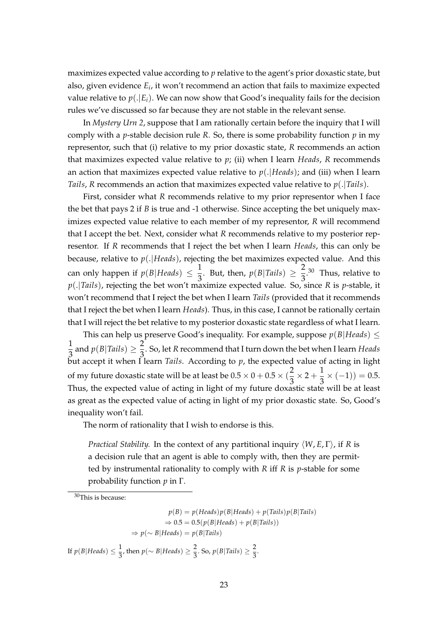maximizes expected value according to *p* relative to the agent's prior doxastic state, but also, given evidence *E<sup>i</sup>* , it won't recommend an action that fails to maximize expected value relative to  $p(.|E_i)$ . We can now show that Good's inequality fails for the decision rules we've discussed so far because they are not stable in the relevant sense.

In *Mystery Urn 2*, suppose that I am rationally certain before the inquiry that I will comply with a *p*-stable decision rule *R*. So, there is some probability function *p* in my representor, such that (i) relative to my prior doxastic state, *R* recommends an action that maximizes expected value relative to *p*; (ii) when I learn *Heads*, *R* recommends an action that maximizes expected value relative to *p*(.*|Heads*); and (iii) when I learn *Tails*, *R* recommends an action that maximizes expected value relative to *p*(.*|Tails*).

First, consider what *R* recommends relative to my prior representor when I face the bet that pays 2 if *B* is true and -1 otherwise. Since accepting the bet uniquely maximizes expected value relative to each member of my representor, *R* will recommend that I accept the bet. Next, consider what *R* recommends relative to my posterior representor. If *R* recommends that I reject the bet when I learn *Heads*, this can only be because, relative to *p*(.*|Heads*), rejecting the bet maximizes expected value. And this can only happen if  $p(B|Heads) \leq \frac{1}{2}$  $\frac{1}{3}$ . But, then,  $p(B|Tails) \geq \frac{2}{3}$  $\frac{2}{3}$ .<sup>30</sup> Thus, relative to *p*(.*|Tails*), rejecting the bet won't maximize expected value. So, since *R* is *p*-stable, it won't recommend that I reject the bet when I learn *Tails* (provided that it recommends that I reject the bet when I learn *Heads*). Thus, in this case, I cannot be rationally certain that I will reject the bet relative to my posterior doxastic state regardless of what I learn.

This can help us preserve Good's inequality. For example, suppose  $p(B|Heads) \le$ 1  $\frac{1}{3}$  and  $p(B|Tails) \geq \frac{2}{3}$ 3 . So, let *R* recommend that I turn down the bet when I learn *Heads* but accept it when I learn *Tails*. According to  $p$ , the expected value of acting in light of my future doxastic state will be at least be  $0.5 \times 0 + 0.5 \times (\frac{2}{3})$  $\frac{2}{3} \times 2 + \frac{1}{3}$  $\frac{1}{3} \times (-1) = 0.5.$ Thus, the expected value of acting in light of my future doxastic state will be at least as great as the expected value of acting in light of my prior doxastic state. So, Good's inequality won't fail.

The norm of rationality that I wish to endorse is this.

*Practical Stability.* In the context of any partitional inquiry *⟨W*, *E*, Γ*⟩*, if *R* is a decision rule that an agent is able to comply with, then they are permitted by instrumental rationality to comply with *R* iff *R* is *p*-stable for some probability function *p* in Γ.

<sup>30</sup>This is because:

 $p(B) = p(Heads)p(B|Heads) + p(Tails)p(B|Tails)$  $\Rightarrow$  0.5 = 0.5( $p(B|Heads) + p(B|Tails)$ ) *⇒ p*(*∼ B|Heads*) = *p*(*B|Tails*)

If  $p(B|Heads) \leq \frac{1}{2}$  $\frac{1}{3}$ , then  $p(\sim B|Heads) \geq \frac{2}{3}$  $\frac{2}{3}$ . So,  $p(B|Tails) \ge \frac{2}{3}$  $\frac{1}{3}$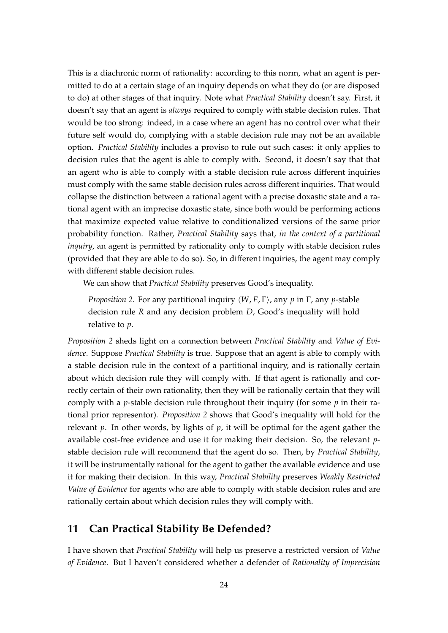This is a diachronic norm of rationality: according to this norm, what an agent is permitted to do at a certain stage of an inquiry depends on what they do (or are disposed to do) at other stages of that inquiry. Note what *Practical Stability* doesn't say. First, it doesn't say that an agent is *always* required to comply with stable decision rules. That would be too strong: indeed, in a case where an agent has no control over what their future self would do, complying with a stable decision rule may not be an available option. *Practical Stability* includes a proviso to rule out such cases: it only applies to decision rules that the agent is able to comply with. Second, it doesn't say that that an agent who is able to comply with a stable decision rule across different inquiries must comply with the same stable decision rules across different inquiries. That would collapse the distinction between a rational agent with a precise doxastic state and a rational agent with an imprecise doxastic state, since both would be performing actions that maximize expected value relative to conditionalized versions of the same prior probability function. Rather, *Practical Stability* says that, *in the context of a partitional inquiry*, an agent is permitted by rationality only to comply with stable decision rules (provided that they are able to do so). So, in different inquiries, the agent may comply with different stable decision rules.

We can show that *Practical Stability* preserves Good's inequality.

*Proposition 2*. For any partitional inquiry *⟨W*, *E*, Γ*⟩*, any *p* in Γ, any *p*-stable decision rule *R* and any decision problem *D*, Good's inequality will hold relative to *p*.

*Proposition 2* sheds light on a connection between *Practical Stability* and *Value of Evidence*. Suppose *Practical Stability* is true. Suppose that an agent is able to comply with a stable decision rule in the context of a partitional inquiry, and is rationally certain about which decision rule they will comply with. If that agent is rationally and correctly certain of their own rationality, then they will be rationally certain that they will comply with a *p*-stable decision rule throughout their inquiry (for some *p* in their rational prior representor). *Proposition 2* shows that Good's inequality will hold for the relevant *p*. In other words, by lights of *p*, it will be optimal for the agent gather the available cost-free evidence and use it for making their decision. So, the relevant *p*stable decision rule will recommend that the agent do so. Then, by *Practical Stability*, it will be instrumentally rational for the agent to gather the available evidence and use it for making their decision. In this way, *Practical Stability* preserves *Weakly Restricted Value of Evidence* for agents who are able to comply with stable decision rules and are rationally certain about which decision rules they will comply with.

# **11 Can Practical Stability Be Defended?**

I have shown that *Practical Stability* will help us preserve a restricted version of *Value of Evidence*. But I haven't considered whether a defender of *Rationality of Imprecision*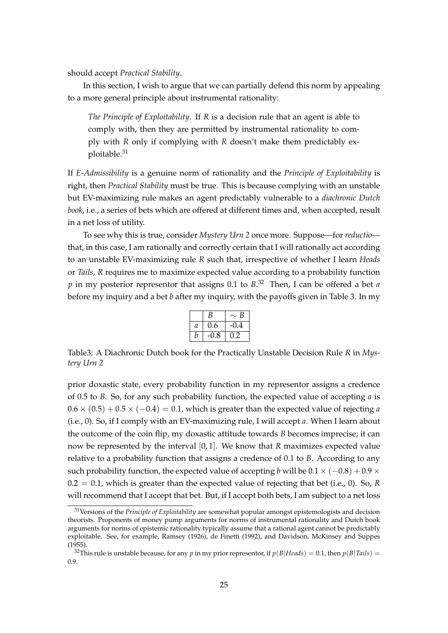should accept *Practical Stability*.

In this section, I wish to argue that we can partially defend this norm by appealing to a more general principle about instrumental rationality:

*The Principle of Exploitability*. If *R* is a decision rule that an agent is able to comply with, then they are permitted by instrumental rationality to comply with *R* only if complying with *R* doesn't make them predictably exploitable.<sup>31</sup>

If *E-Admissibility* is a genuine norm of rationality and the *Principle of Exploitability* is right, then *Practical Stability* must be true. This is because complying with an unstable but EV-maximizing rule makes an agent predictably vulnerable to a *diachronic Dutch book*, i.e., a series of bets which are offered at different times and, when accepted, result in a net loss of utility.

To see why this is true, consider *Mystery Urn 2* once more. Suppose—for *reductio* that, in this case, I am rationally and correctly certain that I will rationally act according to an unstable EV-maximizing rule *R* such that, irrespective of whether I learn *Heads* or *Tails*, *R* requires me to maximize expected value according to a probability function *p* in my posterior representor that assigns 0.1 to *B*. <sup>32</sup> Then, I can be offered a bet *a* before my inquiry and a bet *b* after my inquiry, with the payoffs given in Table 3. In my

|   | B   | B<br>$\sim$ |
|---|-----|-------------|
| а | 0.6 | -0.4        |
| n | 1.8 | י ו         |

Table3: A Diachronic Dutch book for the Practically Unstable Decision Rule *R* in *Mystery Urn 2*

prior doxastic state, every probability function in my representor assigns a credence of 0.5 to *B*. So, for any such probability function, the expected value of accepting *a* is  $0.6 \times (0.5) + 0.5 \times (-0.4) = 0.1$ , which is greater than the expected value of rejecting *a* (i.e., 0). So, if I comply with an EV-maximizing rule, I will accept *a*. When I learn about the outcome of the coin flip, my doxastic attitude towards *B* becomes imprecise; it can now be represented by the interval [0, 1]. We know that *R* maximizes expected value relative to a probability function that assigns a credence of 0.1 to *B*. According to any such probability function, the expected value of accepting *b* will be  $0.1 \times (-0.8) + 0.9 \times$ 0.2 = 0.1, which is greater than the expected value of rejecting that bet (i.e., 0). So, *R* will recommend that I accept that bet. But, if I accept both bets, I am subject to a net loss

<sup>31</sup>Versions of the *Principle of Exploitability* are somewhat popular amongst epistemologists and decision theorists. Proponents of money pump arguments for norms of instrumental rationality and Dutch book arguments for norms of epistemic rationality typically assume that a rational agent cannot be predictably exploitable. See, for example, Ramsey (1926), de Finetti (1992), and Davidson, McKinsey and Suppes (1955).

<sup>&</sup>lt;sup>32</sup>This rule is unstable because, for any *p* in my prior representor, if  $p(B|Heads) = 0.1$ , then  $p(B|Tails) = 0.1$ 0.9.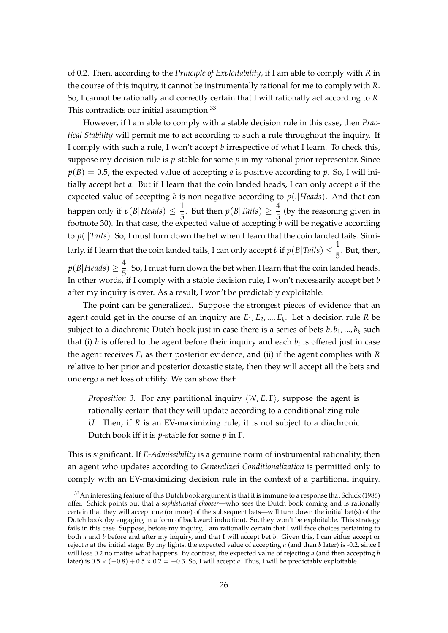of 0.2. Then, according to the *Principle of Exploitability*, if I am able to comply with *R* in the course of this inquiry, it cannot be instrumentally rational for me to comply with *R*. So, I cannot be rationally and correctly certain that I will rationally act according to *R*. This contradicts our initial assumption.<sup>33</sup>

However, if I am able to comply with a stable decision rule in this case, then *Practical Stability* will permit me to act according to such a rule throughout the inquiry. If I comply with such a rule, I won't accept *b* irrespective of what I learn. To check this, suppose my decision rule is *p*-stable for some *p* in my rational prior representor. Since  $p(B) = 0.5$ , the expected value of accepting *a* is positive according to *p*. So, I will initially accept bet *a*. But if I learn that the coin landed heads, I can only accept *b* if the expected value of accepting *b* is non-negative according to *p*(.*|Heads*). And that can happen only if  $p(B|Heads) \leq \frac{1}{\pi}$  $\frac{1}{5}$ . But then  $p(B|Tails) \geq \frac{4}{5}$  $\frac{1}{5}$  (by the reasoning given in footnote 30). In that case, the expected value of accepting  $\overrightarrow{b}$  will be negative according to *p*(.*|Tails*). So, I must turn down the bet when I learn that the coin landed tails. Similarly, if I learn that the coin landed tails, I can only accept *b* if  $p(B|Tails) \leq \frac{1}{\pi}$  $\frac{1}{5}$ . But, then,  $p(B|Heads) \geq \frac{4}{5}$  $\frac{1}{5}$ . So, I must turn down the bet when I learn that the coin landed heads. In other words, if I comply with a stable decision rule, I won't necessarily accept bet *b* after my inquiry is over. As a result, I won't be predictably exploitable.

The point can be generalized. Suppose the strongest pieces of evidence that an agent could get in the course of an inquiry are *E*1, *E*2, ..., *E<sup>k</sup>* . Let a decision rule *R* be subject to a diachronic Dutch book just in case there is a series of bets  $b, b_1, ..., b_k$  such that (i)  $b$  is offered to the agent before their inquiry and each  $b_i$  is offered just in case the agent receives *E<sup>i</sup>* as their posterior evidence, and (ii) if the agent complies with *R* relative to her prior and posterior doxastic state, then they will accept all the bets and undergo a net loss of utility. We can show that:

*Proposition 3*. For any partitional inquiry *⟨W*, *E*, Γ*⟩*, suppose the agent is rationally certain that they will update according to a conditionalizing rule *U*. Then, if *R* is an EV-maximizing rule, it is not subject to a diachronic Dutch book iff it is *p*-stable for some *p* in Γ.

This is significant. If *E-Admissibility* is a genuine norm of instrumental rationality, then an agent who updates according to *Generalized Conditionalization* is permitted only to comply with an EV-maximizing decision rule in the context of a partitional inquiry.

 $33$ An interesting feature of this Dutch book argument is that it is immune to a response that Schick (1986) offer. Schick points out that a *sophisticated chooser*—who sees the Dutch book coming and is rationally certain that they will accept one (or more) of the subsequent bets—will turn down the initial bet(s) of the Dutch book (by engaging in a form of backward induction). So, they won't be exploitable. This strategy fails in this case. Suppose, before my inquiry, I am rationally certain that I will face choices pertaining to both *a* and *b* before and after my inquiry, and that I will accept bet *b*. Given this, I can either accept or reject *a* at the initial stage. By my lights, the expected value of accepting *a* (and then *b* later) is -0.2, since I will lose 0.2 no matter what happens. By contrast, the expected value of rejecting *a* (and then accepting *b* later) is  $0.5 \times (-0.8) + 0.5 \times 0.2 = -0.3$ . So, I will accept *a*. Thus, I will be predictably exploitable.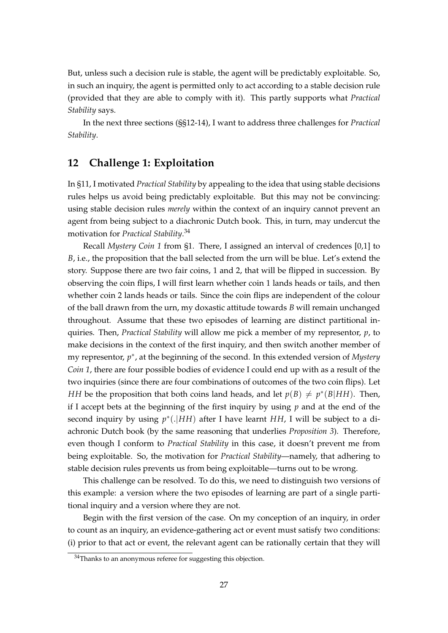But, unless such a decision rule is stable, the agent will be predictably exploitable. So, in such an inquiry, the agent is permitted only to act according to a stable decision rule (provided that they are able to comply with it). This partly supports what *Practical Stability* says.

In the next three sections (§§12-14), I want to address three challenges for *Practical Stability*.

# **12 Challenge 1: Exploitation**

In §11, I motivated *Practical Stability* by appealing to the idea that using stable decisions rules helps us avoid being predictably exploitable. But this may not be convincing: using stable decision rules *merely* within the context of an inquiry cannot prevent an agent from being subject to a diachronic Dutch book. This, in turn, may undercut the motivation for *Practical Stability*. 34

Recall *Mystery Coin 1* from §1. There, I assigned an interval of credences [0,1] to *B*, i.e., the proposition that the ball selected from the urn will be blue. Let's extend the story. Suppose there are two fair coins, 1 and 2, that will be flipped in succession. By observing the coin flips, I will first learn whether coin 1 lands heads or tails, and then whether coin 2 lands heads or tails. Since the coin flips are independent of the colour of the ball drawn from the urn, my doxastic attitude towards *B* will remain unchanged throughout. Assume that these two episodes of learning are distinct partitional inquiries. Then, *Practical Stability* will allow me pick a member of my representor, *p*, to make decisions in the context of the first inquiry, and then switch another member of my representor, p<sup>\*</sup>, at the beginning of the second. In this extended version of *Mystery Coin 1*, there are four possible bodies of evidence I could end up with as a result of the two inquiries (since there are four combinations of outcomes of the two coin flips). Let *HH* be the proposition that both coins land heads, and let  $p(B) \neq p^*(B|HH)$ . Then, if I accept bets at the beginning of the first inquiry by using *p* and at the end of the second inquiry by using *p ∗* (.*|HH*) after I have learnt *HH*, I will be subject to a diachronic Dutch book (by the same reasoning that underlies *Proposition 3*). Therefore, even though I conform to *Practical Stability* in this case, it doesn't prevent me from being exploitable. So, the motivation for *Practical Stability*—namely, that adhering to stable decision rules prevents us from being exploitable—turns out to be wrong.

This challenge can be resolved. To do this, we need to distinguish two versions of this example: a version where the two episodes of learning are part of a single partitional inquiry and a version where they are not.

Begin with the first version of the case. On my conception of an inquiry, in order to count as an inquiry, an evidence-gathering act or event must satisfy two conditions: (i) prior to that act or event, the relevant agent can be rationally certain that they will

<sup>&</sup>lt;sup>34</sup>Thanks to an anonymous referee for suggesting this objection.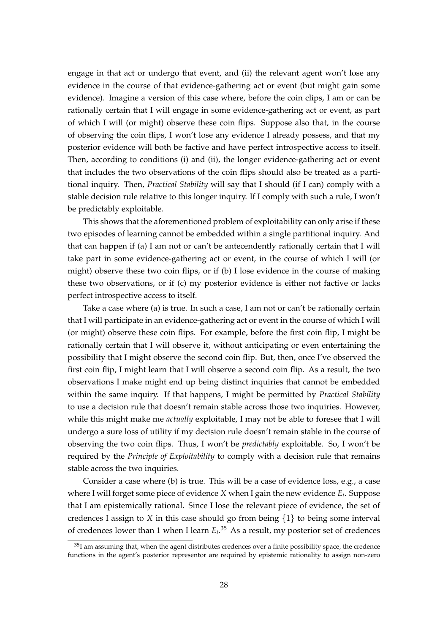engage in that act or undergo that event, and (ii) the relevant agent won't lose any evidence in the course of that evidence-gathering act or event (but might gain some evidence). Imagine a version of this case where, before the coin clips, I am or can be rationally certain that I will engage in some evidence-gathering act or event, as part of which I will (or might) observe these coin flips. Suppose also that, in the course of observing the coin flips, I won't lose any evidence I already possess, and that my posterior evidence will both be factive and have perfect introspective access to itself. Then, according to conditions (i) and (ii), the longer evidence-gathering act or event that includes the two observations of the coin flips should also be treated as a partitional inquiry. Then, *Practical Stability* will say that I should (if I can) comply with a stable decision rule relative to this longer inquiry. If I comply with such a rule, I won't be predictably exploitable.

This shows that the aforementioned problem of exploitability can only arise if these two episodes of learning cannot be embedded within a single partitional inquiry. And that can happen if (a) I am not or can't be antecendently rationally certain that I will take part in some evidence-gathering act or event, in the course of which I will (or might) observe these two coin flips, or if (b) I lose evidence in the course of making these two observations, or if (c) my posterior evidence is either not factive or lacks perfect introspective access to itself.

Take a case where (a) is true. In such a case, I am not or can't be rationally certain that I will participate in an evidence-gathering act or event in the course of which I will (or might) observe these coin flips. For example, before the first coin flip, I might be rationally certain that I will observe it, without anticipating or even entertaining the possibility that I might observe the second coin flip. But, then, once I've observed the first coin flip, I might learn that I will observe a second coin flip. As a result, the two observations I make might end up being distinct inquiries that cannot be embedded within the same inquiry. If that happens, I might be permitted by *Practical Stability* to use a decision rule that doesn't remain stable across those two inquiries. However, while this might make me *actually* exploitable, I may not be able to foresee that I will undergo a sure loss of utility if my decision rule doesn't remain stable in the course of observing the two coin flips. Thus, I won't be *predictably* exploitable. So, I won't be required by the *Principle of Exploitability* to comply with a decision rule that remains stable across the two inquiries.

Consider a case where (b) is true. This will be a case of evidence loss, e.g., a case where I will forget some piece of evidence *X* when I gain the new evidence *E<sup>i</sup>* . Suppose that I am epistemically rational. Since I lose the relevant piece of evidence, the set of credences I assign to *X* in this case should go from being *{*1*}* to being some interval of credences lower than 1 when I learn  $E_i$ <sup>35</sup> As a result, my posterior set of credences

 $35$ I am assuming that, when the agent distributes credences over a finite possibility space, the credence functions in the agent's posterior representor are required by epistemic rationality to assign non-zero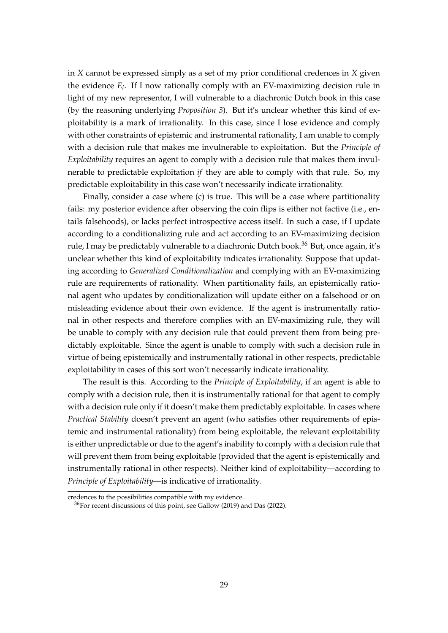in *X* cannot be expressed simply as a set of my prior conditional credences in *X* given the evidence *E<sup>i</sup>* . If I now rationally comply with an EV-maximizing decision rule in light of my new representor, I will vulnerable to a diachronic Dutch book in this case (by the reasoning underlying *Proposition 3*). But it's unclear whether this kind of exploitability is a mark of irrationality. In this case, since I lose evidence and comply with other constraints of epistemic and instrumental rationality, I am unable to comply with a decision rule that makes me invulnerable to exploitation. But the *Principle of Exploitability* requires an agent to comply with a decision rule that makes them invulnerable to predictable exploitation *if* they are able to comply with that rule. So, my predictable exploitability in this case won't necessarily indicate irrationality.

Finally, consider a case where (c) is true. This will be a case where partitionality fails: my posterior evidence after observing the coin flips is either not factive (i.e., entails falsehoods), or lacks perfect introspective access itself. In such a case, if I update according to a conditionalizing rule and act according to an EV-maximizing decision rule, I may be predictably vulnerable to a diachronic Dutch book.<sup>36</sup> But, once again, it's unclear whether this kind of exploitability indicates irrationality. Suppose that updating according to *Generalized Conditionalization* and complying with an EV-maximizing rule are requirements of rationality. When partitionality fails, an epistemically rational agent who updates by conditionalization will update either on a falsehood or on misleading evidence about their own evidence. If the agent is instrumentally rational in other respects and therefore complies with an EV-maximizing rule, they will be unable to comply with any decision rule that could prevent them from being predictably exploitable. Since the agent is unable to comply with such a decision rule in virtue of being epistemically and instrumentally rational in other respects, predictable exploitability in cases of this sort won't necessarily indicate irrationality.

The result is this. According to the *Principle of Exploitability*, if an agent is able to comply with a decision rule, then it is instrumentally rational for that agent to comply with a decision rule only if it doesn't make them predictably exploitable. In cases where *Practical Stability* doesn't prevent an agent (who satisfies other requirements of epistemic and instrumental rationality) from being exploitable, the relevant exploitability is either unpredictable or due to the agent's inability to comply with a decision rule that will prevent them from being exploitable (provided that the agent is epistemically and instrumentally rational in other respects). Neither kind of exploitability—according to *Principle of Exploitability*—is indicative of irrationality.

credences to the possibilities compatible with my evidence.

<sup>36</sup>For recent discussions of this point, see Gallow (2019) and Das (2022).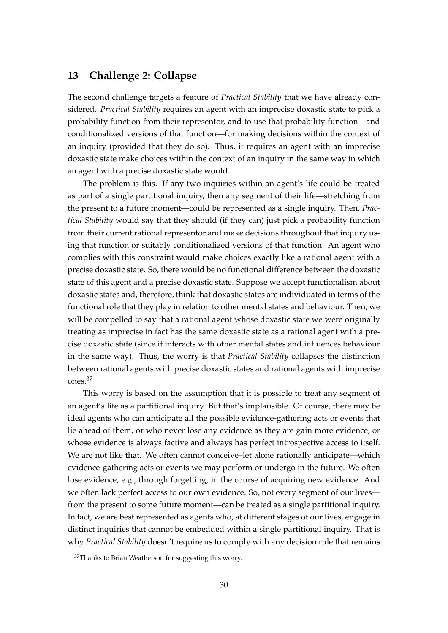# **13 Challenge 2: Collapse**

The second challenge targets a feature of *Practical Stability* that we have already considered. *Practical Stability* requires an agent with an imprecise doxastic state to pick a probability function from their representor, and to use that probability function—and conditionalized versions of that function—for making decisions within the context of an inquiry (provided that they do so). Thus, it requires an agent with an imprecise doxastic state make choices within the context of an inquiry in the same way in which an agent with a precise doxastic state would.

The problem is this. If any two inquiries within an agent's life could be treated as part of a single partitional inquiry, then any segment of their life—stretching from the present to a future moment—could be represented as a single inquiry. Then, *Practical Stability* would say that they should (if they can) just pick a probability function from their current rational representor and make decisions throughout that inquiry using that function or suitably conditionalized versions of that function. An agent who complies with this constraint would make choices exactly like a rational agent with a precise doxastic state. So, there would be no functional difference between the doxastic state of this agent and a precise doxastic state. Suppose we accept functionalism about doxastic states and, therefore, think that doxastic states are individuated in terms of the functional role that they play in relation to other mental states and behaviour. Then, we will be compelled to say that a rational agent whose doxastic state we were originally treating as imprecise in fact has the same doxastic state as a rational agent with a precise doxastic state (since it interacts with other mental states and influences behaviour in the same way). Thus, the worry is that *Practical Stability* collapses the distinction between rational agents with precise doxastic states and rational agents with imprecise ones.<sup>37</sup>

This worry is based on the assumption that it is possible to treat any segment of an agent's life as a partitional inquiry. But that's implausible. Of course, there may be ideal agents who can anticipate all the possible evidence-gathering acts or events that lie ahead of them, or who never lose any evidence as they are gain more evidence, or whose evidence is always factive and always has perfect introspective access to itself. We are not like that. We often cannot conceive–let alone rationally anticipate—which evidence-gathering acts or events we may perform or undergo in the future. We often lose evidence, e.g., through forgetting, in the course of acquiring new evidence. And we often lack perfect access to our own evidence. So, not every segment of our lives from the present to some future moment—can be treated as a single partitional inquiry. In fact, we are best represented as agents who, at different stages of our lives, engage in distinct inquiries that cannot be embedded within a single partitional inquiry. That is why *Practical Stability* doesn't require us to comply with any decision rule that remains

<sup>&</sup>lt;sup>37</sup>Thanks to Brian Weatherson for suggesting this worry.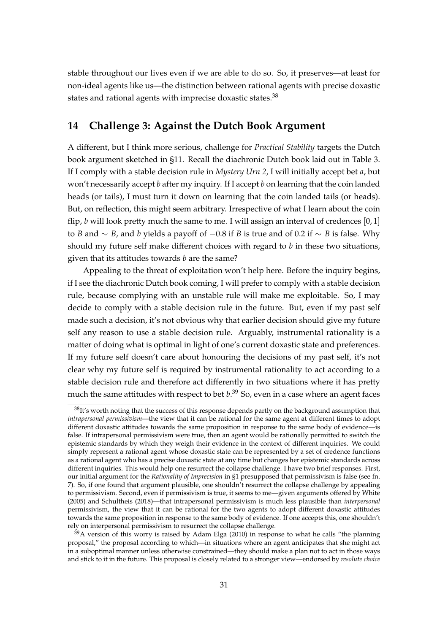stable throughout our lives even if we are able to do so. So, it preserves—at least for non-ideal agents like us—the distinction between rational agents with precise doxastic states and rational agents with imprecise doxastic states.<sup>38</sup>

# **14 Challenge 3: Against the Dutch Book Argument**

A different, but I think more serious, challenge for *Practical Stability* targets the Dutch book argument sketched in §11. Recall the diachronic Dutch book laid out in Table 3. If I comply with a stable decision rule in *Mystery Urn 2*, I will initially accept bet *a*, but won't necessarily accept *b* after my inquiry. If I accept *b* on learning that the coin landed heads (or tails), I must turn it down on learning that the coin landed tails (or heads). But, on reflection, this might seem arbitrary. Irrespective of what I learn about the coin flip, *b* will look pretty much the same to me. I will assign an interval of credences  $[0, 1]$ to *B* and *∼ B*, and *b* yields a payoff of *−*0.8 if *B* is true and of 0.2 if *∼ B* is false. Why should my future self make different choices with regard to *b* in these two situations, given that its attitudes towards *b* are the same?

Appealing to the threat of exploitation won't help here. Before the inquiry begins, if I see the diachronic Dutch book coming, I will prefer to comply with a stable decision rule, because complying with an unstable rule will make me exploitable. So, I may decide to comply with a stable decision rule in the future. But, even if my past self made such a decision, it's not obvious why that earlier decision should give my future self any reason to use a stable decision rule. Arguably, instrumental rationality is a matter of doing what is optimal in light of one's current doxastic state and preferences. If my future self doesn't care about honouring the decisions of my past self, it's not clear why my future self is required by instrumental rationality to act according to a stable decision rule and therefore act differently in two situations where it has pretty much the same attitudes with respect to bet *b*. <sup>39</sup> So, even in a case where an agent faces

<sup>&</sup>lt;sup>38</sup>It's worth noting that the success of this response depends partly on the background assumption that *intrapersonal permissivism*—the view that it can be rational for the same agent at different times to adopt different doxastic attitudes towards the same proposition in response to the same body of evidence—is false. If intrapersonal permissivism were true, then an agent would be rationally permitted to switch the epistemic standards by which they weigh their evidence in the context of different inquiries. We could simply represent a rational agent whose doxastic state can be represented by a set of credence functions as a rational agent who has a precise doxastic state at any time but changes her epistemic standards across different inquiries. This would help one resurrect the collapse challenge. I have two brief responses. First, our initial argument for the *Rationality of Imprecision* in §1 presupposed that permissivism is false (see fn. 7). So, if one found that argument plausible, one shouldn't resurrect the collapse challenge by appealing to permissivism. Second, even if permissivism is true, it seems to me—given arguments offered by White (2005) and Schultheis (2018)—that intrapersonal permissivism is much less plausible than *interpersonal* permissivism, the view that it can be rational for the two agents to adopt different doxastic attitudes towards the same proposition in response to the same body of evidence. If one accepts this, one shouldn't rely on interpersonal permissivism to resurrect the collapse challenge.

 $39A$  version of this worry is raised by Adam Elga (2010) in response to what he calls "the planning proposal," the proposal according to which—in situations where an agent anticipates that she might act in a suboptimal manner unless otherwise constrained—they should make a plan not to act in those ways and stick to it in the future. This proposal is closely related to a stronger view—endorsed by *resolute choice*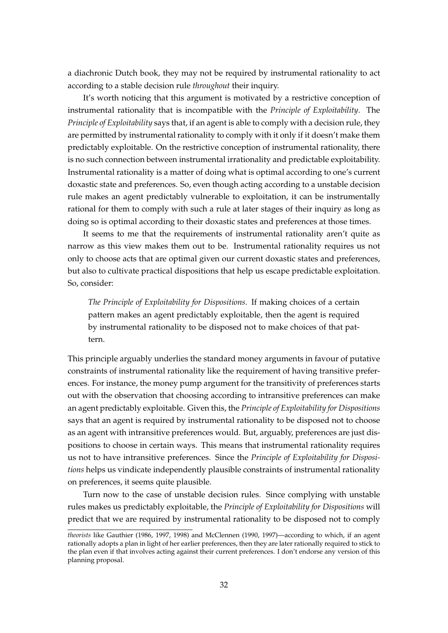a diachronic Dutch book, they may not be required by instrumental rationality to act according to a stable decision rule *throughout* their inquiry.

It's worth noticing that this argument is motivated by a restrictive conception of instrumental rationality that is incompatible with the *Principle of Exploitability*. The *Principle of Exploitability* says that, if an agent is able to comply with a decision rule, they are permitted by instrumental rationality to comply with it only if it doesn't make them predictably exploitable. On the restrictive conception of instrumental rationality, there is no such connection between instrumental irrationality and predictable exploitability. Instrumental rationality is a matter of doing what is optimal according to one's current doxastic state and preferences. So, even though acting according to a unstable decision rule makes an agent predictably vulnerable to exploitation, it can be instrumentally rational for them to comply with such a rule at later stages of their inquiry as long as doing so is optimal according to their doxastic states and preferences at those times.

It seems to me that the requirements of instrumental rationality aren't quite as narrow as this view makes them out to be. Instrumental rationality requires us not only to choose acts that are optimal given our current doxastic states and preferences, but also to cultivate practical dispositions that help us escape predictable exploitation. So, consider:

*The Principle of Exploitability for Dispositions*. If making choices of a certain pattern makes an agent predictably exploitable, then the agent is required by instrumental rationality to be disposed not to make choices of that pattern.

This principle arguably underlies the standard money arguments in favour of putative constraints of instrumental rationality like the requirement of having transitive preferences. For instance, the money pump argument for the transitivity of preferences starts out with the observation that choosing according to intransitive preferences can make an agent predictably exploitable. Given this, the *Principle of Exploitability for Dispositions* says that an agent is required by instrumental rationality to be disposed not to choose as an agent with intransitive preferences would. But, arguably, preferences are just dispositions to choose in certain ways. This means that instrumental rationality requires us not to have intransitive preferences. Since the *Principle of Exploitability for Dispositions* helps us vindicate independently plausible constraints of instrumental rationality on preferences, it seems quite plausible.

Turn now to the case of unstable decision rules. Since complying with unstable rules makes us predictably exploitable, the *Principle of Exploitability for Dispositions* will predict that we are required by instrumental rationality to be disposed not to comply

*theorists* like Gauthier (1986, 1997, 1998) and McClennen (1990, 1997)—according to which, if an agent rationally adopts a plan in light of her earlier preferences, then they are later rationally required to stick to the plan even if that involves acting against their current preferences. I don't endorse any version of this planning proposal.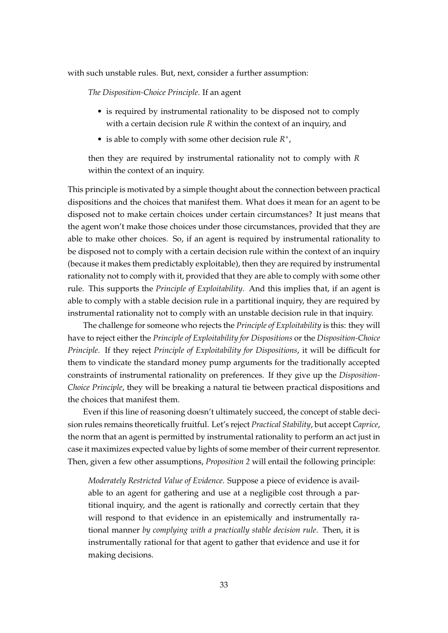with such unstable rules. But, next, consider a further assumption:

*The Disposition-Choice Principle*. If an agent

- is required by instrumental rationality to be disposed not to comply with a certain decision rule *R* within the context of an inquiry, and
- is able to comply with some other decision rule *R ∗* ,

then they are required by instrumental rationality not to comply with *R* within the context of an inquiry.

This principle is motivated by a simple thought about the connection between practical dispositions and the choices that manifest them. What does it mean for an agent to be disposed not to make certain choices under certain circumstances? It just means that the agent won't make those choices under those circumstances, provided that they are able to make other choices. So, if an agent is required by instrumental rationality to be disposed not to comply with a certain decision rule within the context of an inquiry (because it makes them predictably exploitable), then they are required by instrumental rationality not to comply with it, provided that they are able to comply with some other rule. This supports the *Principle of Exploitability*. And this implies that, if an agent is able to comply with a stable decision rule in a partitional inquiry, they are required by instrumental rationality not to comply with an unstable decision rule in that inquiry.

The challenge for someone who rejects the *Principle of Exploitability* is this: they will have to reject either the *Principle of Exploitability for Dispositions* or the *Disposition-Choice Principle*. If they reject *Principle of Exploitability for Dispositions*, it will be difficult for them to vindicate the standard money pump arguments for the traditionally accepted constraints of instrumental rationality on preferences. If they give up the *Disposition-Choice Principle*, they will be breaking a natural tie between practical dispositions and the choices that manifest them.

Even if this line of reasoning doesn't ultimately succeed, the concept of stable decision rules remains theoretically fruitful. Let's reject *Practical Stability*, but accept *Caprice*, the norm that an agent is permitted by instrumental rationality to perform an act just in case it maximizes expected value by lights of some member of their current representor. Then, given a few other assumptions, *Proposition 2* will entail the following principle:

*Moderately Restricted Value of Evidence*. Suppose a piece of evidence is available to an agent for gathering and use at a negligible cost through a partitional inquiry, and the agent is rationally and correctly certain that they will respond to that evidence in an epistemically and instrumentally rational manner *by complying with a practically stable decision rule*. Then, it is instrumentally rational for that agent to gather that evidence and use it for making decisions.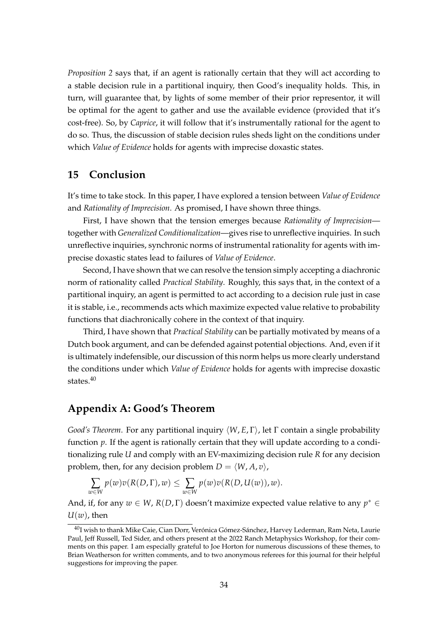*Proposition 2* says that, if an agent is rationally certain that they will act according to a stable decision rule in a partitional inquiry, then Good's inequality holds. This, in turn, will guarantee that, by lights of some member of their prior representor, it will be optimal for the agent to gather and use the available evidence (provided that it's cost-free). So, by *Caprice*, it will follow that it's instrumentally rational for the agent to do so. Thus, the discussion of stable decision rules sheds light on the conditions under which *Value of Evidence* holds for agents with imprecise doxastic states.

# **15 Conclusion**

It's time to take stock. In this paper, I have explored a tension between *Value of Evidence* and *Rationality of Imprecision*. As promised, I have shown three things.

First, I have shown that the tension emerges because *Rationality of Imprecision* together with *Generalized Conditionalization*—gives rise to unreflective inquiries. In such unreflective inquiries, synchronic norms of instrumental rationality for agents with imprecise doxastic states lead to failures of *Value of Evidence*.

Second, I have shown that we can resolve the tension simply accepting a diachronic norm of rationality called *Practical Stability*. Roughly, this says that, in the context of a partitional inquiry, an agent is permitted to act according to a decision rule just in case it is stable, i.e., recommends acts which maximize expected value relative to probability functions that diachronically cohere in the context of that inquiry.

Third, I have shown that *Practical Stability* can be partially motivated by means of a Dutch book argument, and can be defended against potential objections. And, even if it is ultimately indefensible, our discussion of this norm helps us more clearly understand the conditions under which *Value of Evidence* holds for agents with imprecise doxastic states.<sup>40</sup>

# **Appendix A: Good's Theorem**

*Good's Theorem*. For any partitional inquiry *⟨W*, *E*, Γ*⟩*, let Γ contain a single probability function *p*. If the agent is rationally certain that they will update according to a conditionalizing rule *U* and comply with an EV-maximizing decision rule *R* for any decision problem, then, for any decision problem  $D = \langle W, A, v \rangle$ ,

$$
\sum_{w \in W} p(w)v(R(D,\Gamma),w) \leq \sum_{w \in W} p(w)v(R(D,U(w)),w).
$$

And, if, for any  $w \in W$ ,  $R(D, \Gamma)$  doesn't maximize expected value relative to any  $p^* \in$ *U*(*w*), then

<sup>40</sup>I wish to thank Mike Caie, Cian Dorr, Verónica Gómez-Sánchez, Harvey Lederman, Ram Neta, Laurie Paul, Jeff Russell, Ted Sider, and others present at the 2022 Ranch Metaphysics Workshop, for their comments on this paper. I am especially grateful to Joe Horton for numerous discussions of these themes, to Brian Weatherson for written comments, and to two anonymous referees for this journal for their helpful suggestions for improving the paper.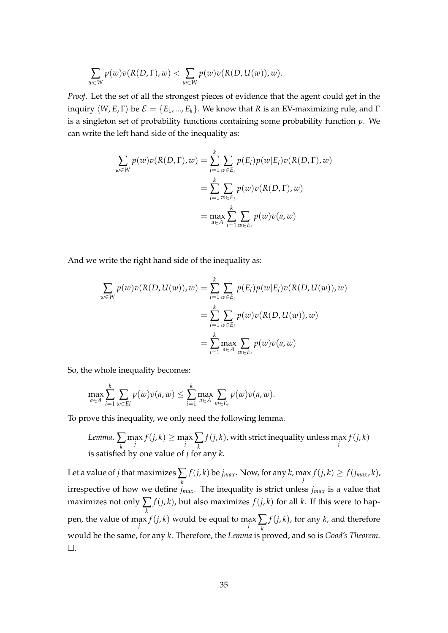$$
\sum_{w \in W} p(w)v(R(D,\Gamma),w) < \sum_{w \in W} p(w)v(R(D,U(w)),w).
$$

*Proof*. Let the set of all the strongest pieces of evidence that the agent could get in the inquiry  $\langle W, E, \Gamma \rangle$  be  $\mathcal{E} = \{E_1, ..., E_k\}$ . We know that *R* is an EV-maximizing rule, and  $\Gamma$ is a singleton set of probability functions containing some probability function *p*. We can write the left hand side of the inequality as:

$$
\sum_{w \in W} p(w)v(R(D, \Gamma), w) = \sum_{i=1}^{k} \sum_{w \in E_i} p(E_i)p(w|E_i)v(R(D, \Gamma), w)
$$
  
= 
$$
\sum_{i=1}^{k} \sum_{w \in E_i} p(w)v(R(D, \Gamma), w)
$$
  
= 
$$
\max_{a \in A} \sum_{i=1}^{k} \sum_{w \in E_i} p(w)v(a, w)
$$

And we write the right hand side of the inequality as:

$$
\sum_{w \in W} p(w)v(R(D, U(w)), w) = \sum_{i=1}^{k} \sum_{w \in E_i} p(E_i)p(w|E_i)v(R(D, U(w)), w)
$$

$$
= \sum_{i=1}^{k} \sum_{w \in E_i} p(w)v(R(D, U(w)), w)
$$

$$
= \sum_{i=1}^{k} \max_{a \in A} \sum_{w \in E_i} p(w)v(a, w)
$$

So, the whole inequality becomes:

$$
\max_{a\in A}\sum_{i=1}^k\sum_{w\in E^i}p(w)v(a,w)\leq \sum_{i=1}^k\max_{a\in A}\sum_{w\in E_i}p(w)v(a,w).
$$

To prove this inequality, we only need the following lemma.

*Lemma.* 
$$
\sum_{k} \max_{j} f(j,k) \geq \max_{j} \sum_{k} f(j,k)
$$
, with strict inequality unless  $\max_{j} f(j,k)$  is satisfied by one value of *j* for any *k*.

Let a value of *j* that maximizes∑ *k*  $f(j,k)$  be  $j_{max}$ . Now, for any  $k$ ,  $\max_{j} f(j,k) \geq f(j_{max},k)$ , irrespective of how we define *jmax*. The inequality is strict unless *jmax* is a value that maximizes not only  $\sum$ *k*  $f(j,k)$ , but also maximizes  $f(j,k)$  for all  $k$ . If this were to happen, the value of max  $f(j, k)$  would be equal to max  $\sum_{k=1}^{k}$ *f*(*j*, *k*), for any *k*, and therefore would be the same, for any *k*. Therefore, the *Lemma* is proved, and so is *Good's Theorem*. □.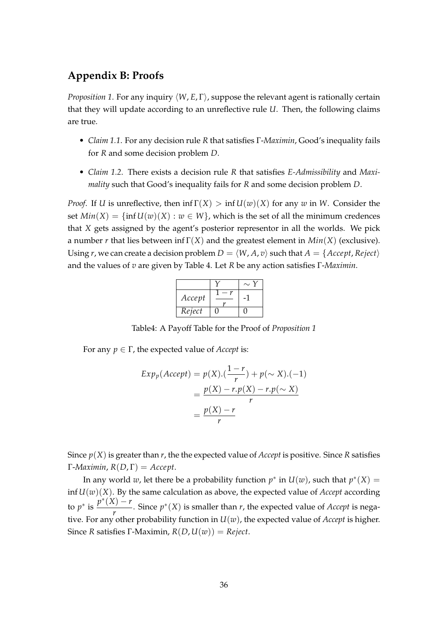# **Appendix B: Proofs**

*Proposition 1*. For any inquiry *⟨W*, *E*, Γ*⟩*, suppose the relevant agent is rationally certain that they will update according to an unreflective rule *U*. Then, the following claims are true.

- *Claim 1.1*. For any decision rule *R* that satisfies Γ-*Maximin*, Good's inequality fails for *R* and some decision problem *D*.
- *Claim 1.2*. There exists a decision rule *R* that satisfies *E-Admissibility* and *Maximality* such that Good's inequality fails for *R* and some decision problem *D*.

*Proof.* If *U* is unreflective, then  $\inf \Gamma(X) > \inf U(w)(X)$  for any *w* in *W*. Consider the set  $Min(X) = \{ \inf U(w)(X) : w \in W \}$ , which is the set of all the minimum credences that *X* gets assigned by the agent's posterior representor in all the worlds. We pick a number *r* that lies between inf Γ(*X*) and the greatest element in *Min*(*X*) (exclusive). Using *r*, we can create a decision problem  $D = \langle W, A, v \rangle$  such that  $A = \{Accept, Reject\}$ and the values of *v* are given by Table 4. Let *R* be any action satisfies Γ-*Maximin*.

| Accept |  |
|--------|--|
| Reject |  |

Table4: A Payoff Table for the Proof of *Proposition 1*

For any  $p \in \Gamma$ , the expected value of *Accept* is:

$$
Exp_p(Accept) = p(X).(\frac{1-r}{r}) + p(\sim X).(-1)
$$

$$
= \frac{p(X) - r.p(X) - r.p(\sim X)}{r}
$$

$$
= \frac{p(X) - r}{r}
$$

Since  $p(X)$  is greater than  $r$ , the the expected value of *Accept* is positive. Since  $R$  satisfies Γ-*Maximin*, *R*(*D*, Γ) = *Accept*.

In any world *w*, let there be a probability function  $p^*$  in  $U(w)$ , such that  $p^*(X) =$ inf  $U(w)(X)$ . By the same calculation as above, the expected value of *Accept* according to  $p^*$  is  $\frac{p^*(X) - r}{n}$  $\frac{r}{r}$ . Since  $p^*(X)$  is smaller than *r*, the expected value of *Accept* is negative. For any other probability function in  $U(w)$ , the expected value of *Accept* is higher. Since *R* satisfies Γ-Maximin,  $R(D, U(w)) = Reject$ .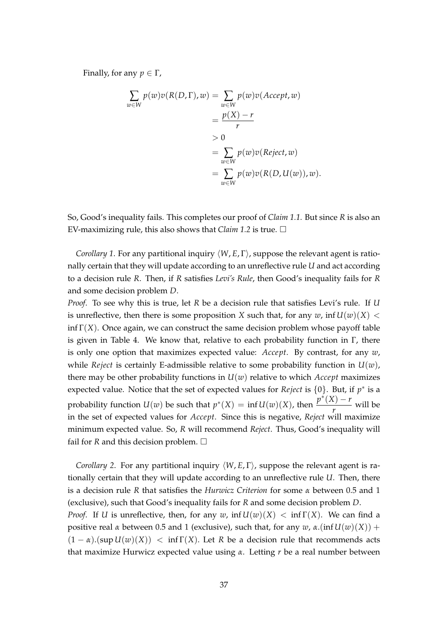Finally, for any  $p \in \Gamma$ ,

$$
\sum_{w \in W} p(w)v(R(D, \Gamma), w) = \sum_{w \in W} p(w)v(Accept, w)
$$
  
= 
$$
\frac{p(X) - r}{r}
$$
  
> 0  
= 
$$
\sum_{w \in W} p(w)v(Reject, w)
$$
  
= 
$$
\sum_{w \in W} p(w)v(R(D, U(w)), w).
$$

So, Good's inequality fails. This completes our proof of *Claim 1.1.* But since *R* is also an EV-maximizing rule, this also shows that *Claim* 1.2 is true.  $\square$ 

*Corollary 1*. For any partitional inquiry *⟨W*, *E*, Γ*⟩*, suppose the relevant agent is rationally certain that they will update according to an unreflective rule *U* and act according to a decision rule *R*. Then, if *R* satisfies *Levi's Rule*, then Good's inequality fails for *R* and some decision problem *D*.

*Proof*. To see why this is true, let *R* be a decision rule that satisfies Levi's rule. If *U* is unreflective, then there is some proposition *X* such that, for any  $w$ ,  $\inf U(w)(X)$  <  $\inf \Gamma(X)$ . Once again, we can construct the same decision problem whose payoff table is given in Table 4. We know that, relative to each probability function in  $\Gamma$ , there is only one option that maximizes expected value: *Accept*. By contrast, for any *w*, while *Reject* is certainly E-admissible relative to some probability function in  $U(w)$ , there may be other probability functions in  $U(w)$  relative to which *Accept* maximizes expected value. Notice that the set of expected values for *Reject* is *{*0*}*. But, if *p ∗* is a probability function *U*(*w*) be such that  $p^*(X) = \inf U(w)(X)$ , then  $\frac{p^*(X) - r}{x}$  $\frac{r}{r}$  will be in the set of expected values for *Accept*. Since this is negative, *Reject* will maximize minimum expected value. So, *R* will recommend *Reject*. Thus, Good's inequality will fail for *R* and this decision problem.  $\square$ 

*Corollary 2*. For any partitional inquiry *⟨W*, *E*, Γ*⟩*, suppose the relevant agent is rationally certain that they will update according to an unreflective rule *U*. Then, there is a decision rule *R* that satisfies the *Hurwicz Criterion* for some *α* between 0.5 and 1 (exclusive), such that Good's inequality fails for *R* and some decision problem *D*. *Proof.* If *U* is unreflective, then, for any *w*, inf  $U(w)(X) < \inf \Gamma(X)$ . We can find a positive real *α* between 0.5 and 1 (exclusive), such that, for any *w*, *α*.(inf  $U(w)(X)$ ) +  $(1 - \alpha)$ .(sup  $U(w)(X)$ ) < inf  $\Gamma(X)$ . Let R be a decision rule that recommends acts that maximize Hurwicz expected value using *α*. Letting *r* be a real number between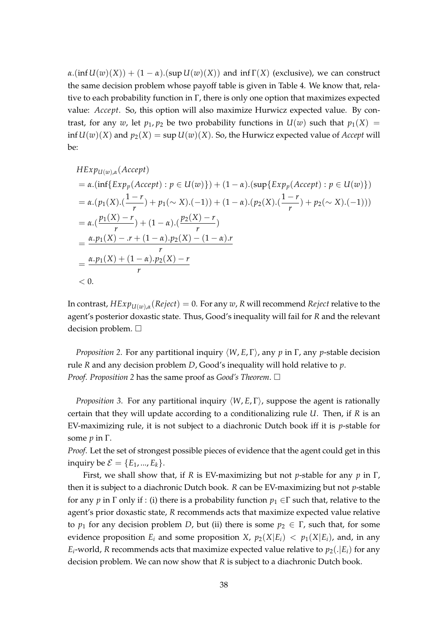$\alpha$ .(inf  $U(w)(X)$ ) + (1 –  $\alpha$ ).(sup  $U(w)(X)$ ) and inf  $\Gamma(X)$  (exclusive), we can construct the same decision problem whose payoff table is given in Table 4. We know that, relative to each probability function in  $\Gamma$ , there is only one option that maximizes expected value: *Accept*. So, this option will also maximize Hurwicz expected value. By contrast, for any *w*, let  $p_1$ ,  $p_2$  be two probability functions in  $U(w)$  such that  $p_1(X) =$ inf  $U(w)(X)$  and  $p_2(X) = \sup U(w)(X)$ . So, the Hurwicz expected value of *Accept* will be:

$$
HExp_{U(w),\alpha}(Accept) \\
= \alpha.(\inf\{Exp_p(Accept) : p \in U(w)\}) + (1 - \alpha).(\sup\{Exp_p(Accept) : p \in U(w)\}) \\
= \alpha.(\frac{p_1(X).(\frac{1-r}{r})}{r}) + p_1(\sim X).(-1)) + (1 - \alpha).(\frac{p_2(X).(\frac{1-r}{r})}{r}) + p_2(\sim X).(-1))) \\
= \alpha.(\frac{p_1(X) - r}{r}) + (1 - \alpha).(\frac{p_2(X) - r}{r}) \\
= \frac{\alpha.p_1(X) - .r + (1 - \alpha).p_2(X) - (1 - \alpha).r}{r} \\
= \frac{\alpha.p_1(X) + (1 - \alpha).p_2(X) - r}{r} \\
< 0.
$$

In contrast, *HExpU*(*w*),*<sup>α</sup>* (*Reject*) = 0. For any *w*, *R* will recommend *Reject* relative to the agent's posterior doxastic state. Thus, Good's inequality will fail for *R* and the relevant decision problem. □

*Proposition 2*. For any partitional inquiry *⟨W*, *E*, Γ*⟩*, any *p* in Γ, any *p*-stable decision rule *R* and any decision problem *D*, Good's inequality will hold relative to *p*. *Proof. Proposition 2* has the same proof as *Good's Theorem*. □

*Proposition 3*. For any partitional inquiry *⟨W*, *E*, Γ*⟩*, suppose the agent is rationally certain that they will update according to a conditionalizing rule *U*. Then, if *R* is an EV-maximizing rule, it is not subject to a diachronic Dutch book iff it is *p*-stable for some *p* in Γ.

*Proof*. Let the set of strongest possible pieces of evidence that the agent could get in this inquiry be  $\mathcal{E} = \{E_1, ..., E_k\}.$ 

First, we shall show that, if *R* is EV-maximizing but not *p*-stable for any *p* in Γ, then it is subject to a diachronic Dutch book. *R* can be EV-maximizing but not *p*-stable for any *p* in  $\Gamma$  only if : (i) there is a probability function  $p_1 \in \Gamma$  such that, relative to the agent's prior doxastic state, *R* recommends acts that maximize expected value relative to  $p_1$  for any decision problem *D*, but (ii) there is some  $p_2 \in \Gamma$ , such that, for some evidence proposition  $E_i$  and some proposition *X*,  $p_2(X|E_i) < p_1(X|E_i)$ , and, in any  $E_i$ -world, *R* recommends acts that maximize expected value relative to  $p_2(.|E_i)$  for any decision problem. We can now show that *R* is subject to a diachronic Dutch book.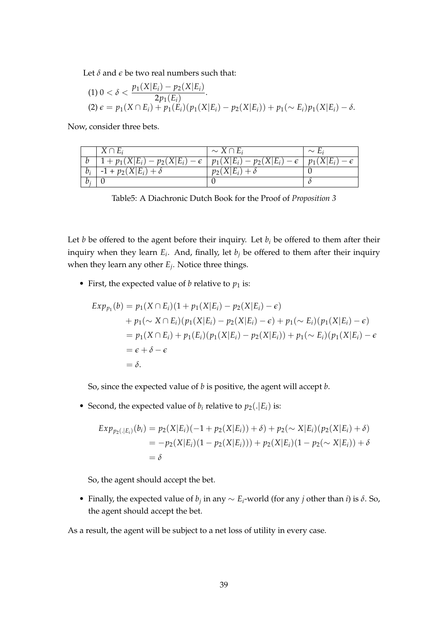Let  $\delta$  and  $\epsilon$  be two real numbers such that:

(1) 
$$
0 < \delta < \frac{p_1(X|E_i) - p_2(X|E_i)}{2p_1(E_i)}
$$
.  
\n(2)  $\epsilon = p_1(X \cap E_i) + p_1(E_i)(p_1(X|E_i) - p_2(X|E_i)) + p_1(\sim E_i)p_1(X|E_i) - \delta$ .

Now, consider three bets.

|       | $X \cap E_i$                             | $\sim X \cap E_i$                        | $\sim$ L:    |
|-------|------------------------------------------|------------------------------------------|--------------|
|       | $1 + p_1(X E_i) - p_2(X E_i) - \epsilon$ | $  p_1(X E_i) - p_2(X E_i) - \epsilon  $ | $p_1(X E_i)$ |
| $b_i$ | $-1 + p_2(X E_i) + \delta$               | $p_2(X E_i) + \delta$                    |              |
| b:    |                                          |                                          |              |

Table5: A Diachronic Dutch Book for the Proof of *Proposition 3*

Let *b* be offered to the agent before their inquiry. Let  $b_i$  be offered to them after their inquiry when they learn *E<sup>i</sup>* . And, finally, let *b<sup>j</sup>* be offered to them after their inquiry when they learn any other *E<sup>j</sup>* . Notice three things.

• First, the expected value of  $b$  relative to  $p_1$  is:

$$
Exp_{p_1}(b) = p_1(X \cap E_i)(1 + p_1(X|E_i) - p_2(X|E_i) - \epsilon)
$$
  
+  $p_1(\sim X \cap E_i)(p_1(X|E_i) - p_2(X|E_i) - \epsilon) + p_1(\sim E_i)(p_1(X|E_i) - \epsilon)$   
=  $p_1(X \cap E_i) + p_1(E_i)(p_1(X|E_i) - p_2(X|E_i)) + p_1(\sim E_i)(p_1(X|E_i) - \epsilon)$   
=  $\epsilon + \delta - \epsilon$   
=  $\delta$ .

So, since the expected value of *b* is positive, the agent will accept *b*.

• Second, the expected value of  $b_i$  relative to  $p_2(.|E_i)$  is:

$$
Exp_{p_2(.|E_i)}(b_i) = p_2(X|E_i)(-1 + p_2(X|E_i)) + \delta) + p_2(\sim X|E_i)(p_2(X|E_i) + \delta)
$$
  
=  $-p_2(X|E_i)(1 - p_2(X|E_i))) + p_2(X|E_i)(1 - p_2(\sim X|E_i)) + \delta$   
=  $\delta$ 

So, the agent should accept the bet.

• Finally, the expected value of *b<sup>j</sup>* in any *∼ E<sup>i</sup>* -world (for any *j* other than *i*) is *δ*. So, the agent should accept the bet.

As a result, the agent will be subject to a net loss of utility in every case.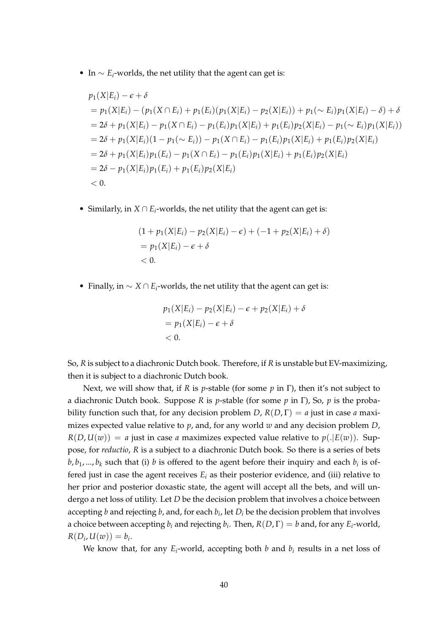• In *∼ E<sup>i</sup>* -worlds, the net utility that the agent can get is:

$$
p_1(X|E_i) - \epsilon + \delta
$$
  
=  $p_1(X|E_i) - (p_1(X \cap E_i) + p_1(E_i)(p_1(X|E_i) - p_2(X|E_i)) + p_1(\sim E_i)p_1(X|E_i) - \delta) + \delta$   
=  $2\delta + p_1(X|E_i) - p_1(X \cap E_i) - p_1(E_i)p_1(X|E_i) + p_1(E_i)p_2(X|E_i) - p_1(\sim E_i)p_1(X|E_i))$   
=  $2\delta + p_1(X|E_i)(1 - p_1(\sim E_i)) - p_1(X \cap E_i) - p_1(E_i)p_1(X|E_i) + p_1(E_i)p_2(X|E_i)$   
=  $2\delta + p_1(X|E_i)p_1(E_i) - p_1(X \cap E_i) - p_1(E_i)p_1(X|E_i) + p_1(E_i)p_2(X|E_i)$   
=  $2\delta - p_1(X|E_i)p_1(E_i) + p_1(E_i)p_2(X|E_i)$   
< 0.

• Similarly, in *X ∩ E<sup>i</sup>* -worlds, the net utility that the agent can get is:

$$
(1 + p_1(X|E_i) - p_2(X|E_i) - \epsilon) + (-1 + p_2(X|E_i) + \delta)
$$
  
=  $p_1(X|E_i) - \epsilon + \delta$   
< 0.

• Finally, in *∼ X ∩ E<sup>i</sup>* -worlds, the net utility that the agent can get is:

$$
p_1(X|E_i) - p_2(X|E_i) - \epsilon + p_2(X|E_i) + \delta
$$
  
=  $p_1(X|E_i) - \epsilon + \delta$   
< 0.

So, *R* is subject to a diachronic Dutch book. Therefore, if *R* is unstable but EV-maximizing, then it is subject to a diachronic Dutch book.

Next, we will show that, if *R* is *p*-stable (for some *p* in Γ), then it's not subject to a diachronic Dutch book. Suppose *R* is *p*-stable (for some *p* in Γ), So, *p* is the probability function such that, for any decision problem *D*,  $R(D, \Gamma) = a$  just in case *a* maximizes expected value relative to *p*, and, for any world *w* and any decision problem *D*,  $R(D, U(w)) = a$  just in case *a* maximizes expected value relative to  $p(.|E(w))$ . Suppose, for *reductio*, *R* is a subject to a diachronic Dutch book. So there is a series of bets *b*, *b*<sub>1</sub>, ..., *b*<sub>*k*</sub> such that (i) *b* is offered to the agent before their inquiry and each *b*<sub>*i*</sub> is offered just in case the agent receives  $E_i$  as their posterior evidence, and (iii) relative to her prior and posterior doxastic state, the agent will accept all the bets, and will undergo a net loss of utility. Let *D* be the decision problem that involves a choice between accepting *b* and rejecting *b*, and, for each *b<sup>i</sup>* , let *D<sup>i</sup>* be the decision problem that involves a choice between accepting  $b_i$  and rejecting  $b_i$ . Then,  $R(D, \Gamma) = b$  and, for any  $E_i$ -world,  $R(D_i, U(w)) = b_i.$ 

We know that, for any *E<sup>i</sup>* -world, accepting both *b* and *b<sup>i</sup>* results in a net loss of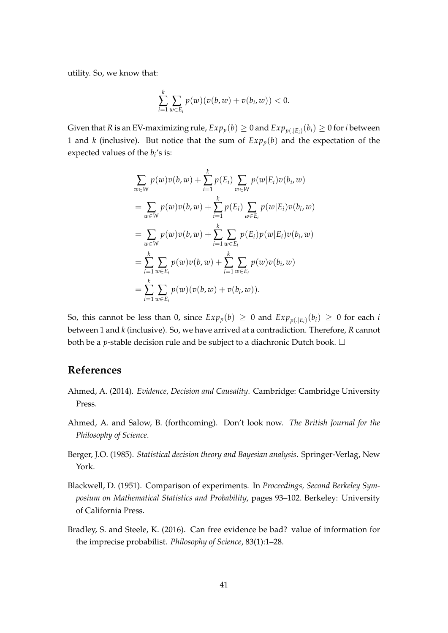utility. So, we know that:

$$
\sum_{i=1}^k \sum_{w \in E_i} p(w)(v(b,w)+v(b_i,w)) < 0.
$$

Given that *R* is an EV-maximizing rule,  $Exp_p(b) \geq 0$  and  $Exp_{p(.|E_i)}(b_i) \geq 0$  for *i* between 1 and *k* (inclusive). But notice that the sum of  $Exp_p(b)$  and the expectation of the expected values of the  $b_i$ 's is:

$$
\sum_{w \in W} p(w)v(b, w) + \sum_{i=1}^{k} p(E_i) \sum_{w \in W} p(w|E_i)v(b_i, w)
$$
  
\n
$$
= \sum_{w \in W} p(w)v(b, w) + \sum_{i=1}^{k} p(E_i) \sum_{w \in E_i} p(w|E_i)v(b_i, w)
$$
  
\n
$$
= \sum_{w \in W} p(w)v(b, w) + \sum_{i=1}^{k} \sum_{w \in E_i} p(E_i)p(w|E_i)v(b_i, w)
$$
  
\n
$$
= \sum_{i=1}^{k} \sum_{w \in E_i} p(w)v(b, w) + \sum_{i=1}^{k} \sum_{w \in E_i} p(w)v(b_i, w)
$$
  
\n
$$
= \sum_{i=1}^{k} \sum_{w \in E_i} p(w)(v(b, w) + v(b_i, w)).
$$

So, this cannot be less than 0, since  $Exp_p(b) \geq 0$  and  $Exp_{p(.|E_i)}(b_i) \geq 0$  for each *i* between 1 and *k* (inclusive). So, we have arrived at a contradiction. Therefore, *R* cannot both be a *p*-stable decision rule and be subject to a diachronic Dutch book.  $\square$ 

# **References**

- Ahmed, A. (2014). *Evidence, Decision and Causality*. Cambridge: Cambridge University Press.
- Ahmed, A. and Salow, B. (forthcoming). Don't look now. *The British Journal for the Philosophy of Science*.
- Berger, J.O. (1985). *Statistical decision theory and Bayesian analysis*. Springer-Verlag, New York.
- Blackwell, D. (1951). Comparison of experiments. In *Proceedings, Second Berkeley Symposium on Mathematical Statistics and Probability*, pages 93–102. Berkeley: University of California Press.
- Bradley, S. and Steele, K. (2016). Can free evidence be bad? value of information for the imprecise probabilist. *Philosophy of Science*, 83(1):1–28.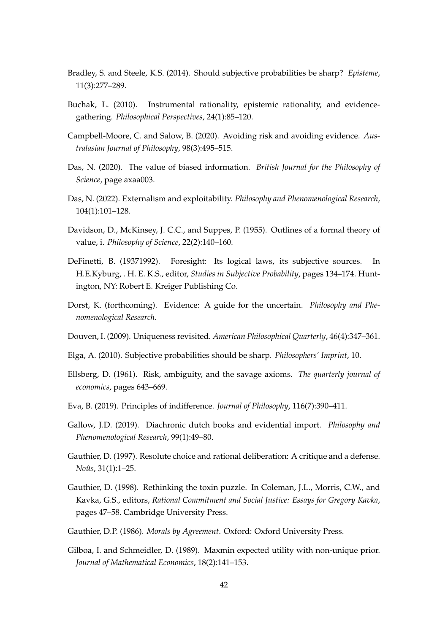- Bradley, S. and Steele, K.S. (2014). Should subjective probabilities be sharp? *Episteme*, 11(3):277–289.
- Buchak, L. (2010). Instrumental rationality, epistemic rationality, and evidencegathering. *Philosophical Perspectives*, 24(1):85–120.
- Campbell-Moore, C. and Salow, B. (2020). Avoiding risk and avoiding evidence. *Australasian Journal of Philosophy*, 98(3):495–515.
- Das, N. (2020). The value of biased information. *British Journal for the Philosophy of Science*, page axaa003.
- Das, N. (2022). Externalism and exploitability. *Philosophy and Phenomenological Research*, 104(1):101–128.
- Davidson, D., McKinsey, J. C.C., and Suppes, P. (1955). Outlines of a formal theory of value, i. *Philosophy of Science*, 22(2):140–160.
- DeFinetti, B. (19371992). Foresight: Its logical laws, its subjective sources. In H.E.Kyburg, . H. E. K.S., editor, *Studies in Subjective Probability*, pages 134–174. Huntington, NY: Robert E. Kreiger Publishing Co.
- Dorst, K. (forthcoming). Evidence: A guide for the uncertain. *Philosophy and Phenomenological Research*.
- Douven, I. (2009). Uniqueness revisited. *American Philosophical Quarterly*, 46(4):347–361.
- Elga, A. (2010). Subjective probabilities should be sharp. *Philosophers' Imprint*, 10.
- Ellsberg, D. (1961). Risk, ambiguity, and the savage axioms. *The quarterly journal of economics*, pages 643–669.
- Eva, B. (2019). Principles of indifference. *Journal of Philosophy*, 116(7):390–411.
- Gallow, J.D. (2019). Diachronic dutch books and evidential import. *Philosophy and Phenomenological Research*, 99(1):49–80.
- Gauthier, D. (1997). Resolute choice and rational deliberation: A critique and a defense. *Noûs*, 31(1):1–25.
- Gauthier, D. (1998). Rethinking the toxin puzzle. In Coleman, J.L., Morris, C.W., and Kavka, G.S., editors, *Rational Commitment and Social Justice: Essays for Gregory Kavka*, pages 47–58. Cambridge University Press.
- Gauthier, D.P. (1986). *Morals by Agreement*. Oxford: Oxford University Press.
- Gilboa, I. and Schmeidler, D. (1989). Maxmin expected utility with non-unique prior. *Journal of Mathematical Economics*, 18(2):141–153.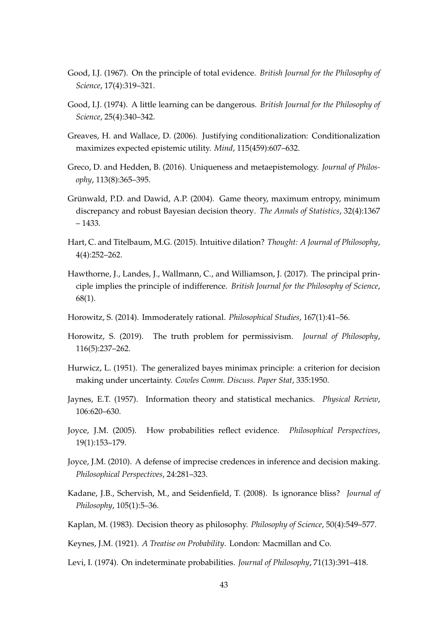- Good, I.J. (1967). On the principle of total evidence. *British Journal for the Philosophy of Science*, 17(4):319–321.
- Good, I.J. (1974). A little learning can be dangerous. *British Journal for the Philosophy of Science*, 25(4):340–342.
- Greaves, H. and Wallace, D. (2006). Justifying conditionalization: Conditionalization maximizes expected epistemic utility. *Mind*, 115(459):607–632.
- Greco, D. and Hedden, B. (2016). Uniqueness and metaepistemology. *Journal of Philosophy*, 113(8):365–395.
- Grünwald, P.D. and Dawid, A.P. (2004). Game theory, maximum entropy, minimum discrepancy and robust Bayesian decision theory. *The Annals of Statistics*, 32(4):1367 – 1433.
- Hart, C. and Titelbaum, M.G. (2015). Intuitive dilation? *Thought: A Journal of Philosophy*, 4(4):252–262.
- Hawthorne, J., Landes, J., Wallmann, C., and Williamson, J. (2017). The principal principle implies the principle of indifference. *British Journal for the Philosophy of Science*, 68(1).
- Horowitz, S. (2014). Immoderately rational. *Philosophical Studies*, 167(1):41–56.
- Horowitz, S. (2019). The truth problem for permissivism. *Journal of Philosophy*, 116(5):237–262.
- Hurwicz, L. (1951). The generalized bayes minimax principle: a criterion for decision making under uncertainty. *Cowles Comm. Discuss. Paper Stat*, 335:1950.
- Jaynes, E.T. (1957). Information theory and statistical mechanics. *Physical Review*, 106:620–630.
- Joyce, J.M. (2005). How probabilities reflect evidence. *Philosophical Perspectives*, 19(1):153–179.
- Joyce, J.M. (2010). A defense of imprecise credences in inference and decision making. *Philosophical Perspectives*, 24:281–323.
- Kadane, J.B., Schervish, M., and Seidenfield, T. (2008). Is ignorance bliss? *Journal of Philosophy*, 105(1):5–36.
- Kaplan, M. (1983). Decision theory as philosophy. *Philosophy of Science*, 50(4):549–577.
- Keynes, J.M. (1921). *A Treatise on Probability*. London: Macmillan and Co.
- Levi, I. (1974). On indeterminate probabilities. *Journal of Philosophy*, 71(13):391–418.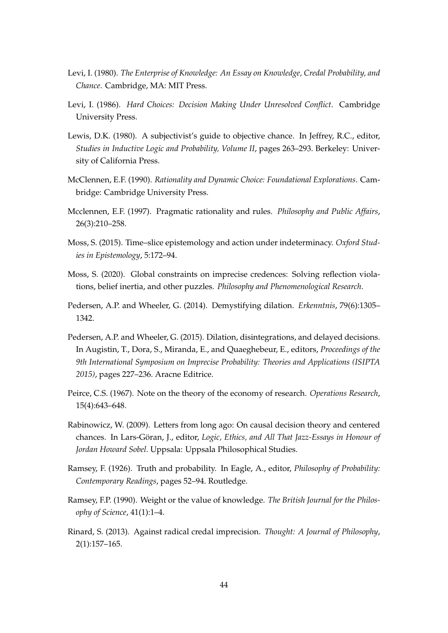- Levi, I. (1980). *The Enterprise of Knowledge: An Essay on Knowledge, Credal Probability, and Chance*. Cambridge, MA: MIT Press.
- Levi, I. (1986). *Hard Choices: Decision Making Under Unresolved Conflict*. Cambridge University Press.
- Lewis, D.K. (1980). A subjectivist's guide to objective chance. In Jeffrey, R.C., editor, *Studies in Inductive Logic and Probability, Volume II*, pages 263–293. Berkeley: University of California Press.
- McClennen, E.F. (1990). *Rationality and Dynamic Choice: Foundational Explorations*. Cambridge: Cambridge University Press.
- Mcclennen, E.F. (1997). Pragmatic rationality and rules. *Philosophy and Public Affairs*, 26(3):210–258.
- Moss, S. (2015). Time–slice epistemology and action under indeterminacy. *Oxford Studies in Epistemology*, 5:172–94.
- Moss, S. (2020). Global constraints on imprecise credences: Solving reflection violations, belief inertia, and other puzzles. *Philosophy and Phenomenological Research*.
- Pedersen, A.P. and Wheeler, G. (2014). Demystifying dilation. *Erkenntnis*, 79(6):1305– 1342.
- Pedersen, A.P. and Wheeler, G. (2015). Dilation, disintegrations, and delayed decisions. In Augistin, T., Dora, S., Miranda, E., and Quaeghebeur, E., editors, *Proceedings of the 9th International Symposium on Imprecise Probability: Theories and Applications (ISIPTA 2015)*, pages 227–236. Aracne Editrice.
- Peirce, C.S. (1967). Note on the theory of the economy of research. *Operations Research*, 15(4):643–648.
- Rabinowicz, W. (2009). Letters from long ago: On causal decision theory and centered chances. In Lars-Göran, J., editor, *Logic, Ethics, and All That Jazz-Essays in Honour of Jordan Howard Sobel*. Uppsala: Uppsala Philosophical Studies.
- Ramsey, F. (1926). Truth and probability. In Eagle, A., editor, *Philosophy of Probability: Contemporary Readings*, pages 52–94. Routledge.
- Ramsey, F.P. (1990). Weight or the value of knowledge. *The British Journal for the Philosophy of Science*, 41(1):1–4.
- Rinard, S. (2013). Against radical credal imprecision. *Thought: A Journal of Philosophy*, 2(1):157–165.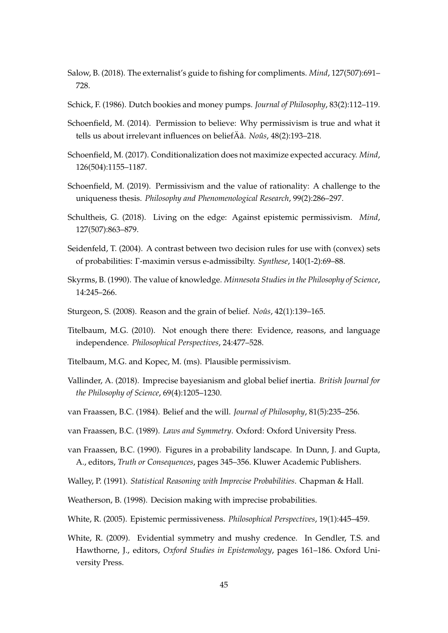- Salow, B. (2018). The externalist's guide to fishing for compliments. *Mind*, 127(507):691– 728.
- Schick, F. (1986). Dutch bookies and money pumps. *Journal of Philosophy*, 83(2):112–119.
- Schoenfield, M. (2014). Permission to believe: Why permissivism is true and what it tells us about irrelevant influences on beliefÄâ. *Noûs*, 48(2):193–218.
- Schoenfield, M. (2017). Conditionalization does not maximize expected accuracy. *Mind*, 126(504):1155–1187.
- Schoenfield, M. (2019). Permissivism and the value of rationality: A challenge to the uniqueness thesis. *Philosophy and Phenomenological Research*, 99(2):286–297.
- Schultheis, G. (2018). Living on the edge: Against epistemic permissivism. *Mind*, 127(507):863–879.
- Seidenfeld, T. (2004). A contrast between two decision rules for use with (convex) sets of probabilities: Γ-maximin versus e-admissibilty. *Synthese*, 140(1-2):69–88.
- Skyrms, B. (1990). The value of knowledge. *Minnesota Studies in the Philosophy of Science*, 14:245–266.
- Sturgeon, S. (2008). Reason and the grain of belief. *Noûs*, 42(1):139–165.
- Titelbaum, M.G. (2010). Not enough there there: Evidence, reasons, and language independence. *Philosophical Perspectives*, 24:477–528.
- Titelbaum, M.G. and Kopec, M. (ms). Plausible permissivism.
- Vallinder, A. (2018). Imprecise bayesianism and global belief inertia. *British Journal for the Philosophy of Science*, 69(4):1205–1230.
- van Fraassen, B.C. (1984). Belief and the will. *Journal of Philosophy*, 81(5):235–256.
- van Fraassen, B.C. (1989). *Laws and Symmetry*. Oxford: Oxford University Press.
- van Fraassen, B.C. (1990). Figures in a probability landscape. In Dunn, J. and Gupta, A., editors, *Truth or Consequences*, pages 345–356. Kluwer Academic Publishers.
- Walley, P. (1991). *Statistical Reasoning with Imprecise Probabilities*. Chapman & Hall.
- Weatherson, B. (1998). Decision making with imprecise probabilities.
- White, R. (2005). Epistemic permissiveness. *Philosophical Perspectives*, 19(1):445–459.
- White, R. (2009). Evidential symmetry and mushy credence. In Gendler, T.S. and Hawthorne, J., editors, *Oxford Studies in Epistemology*, pages 161–186. Oxford University Press.